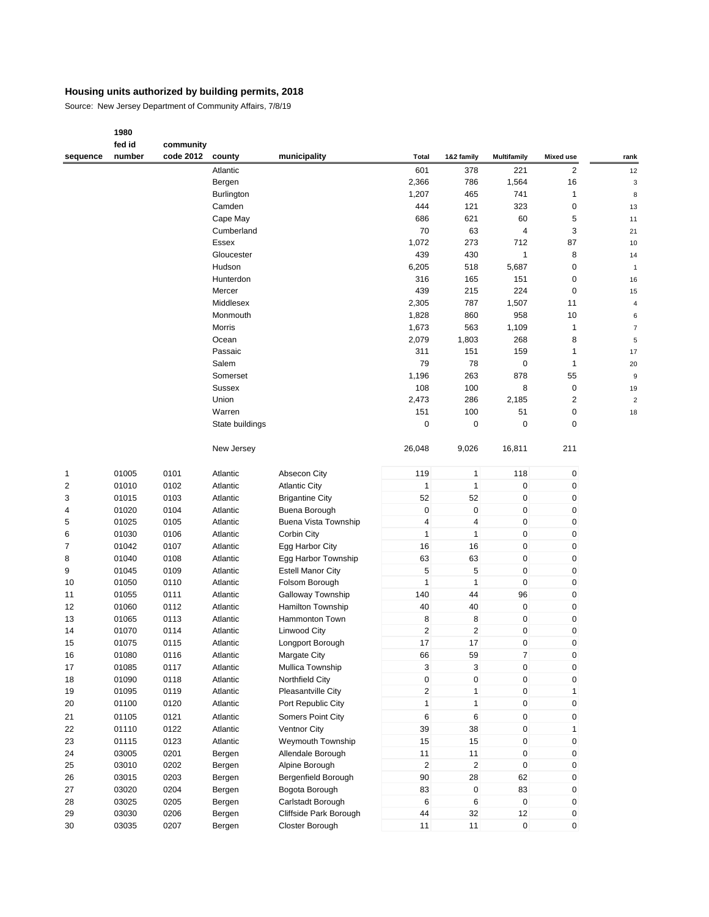Source: New Jersey Department of Community Affairs, 7/8/19

|                         | fed id | community |                 |                          |                |                         |                    |                  |                         |
|-------------------------|--------|-----------|-----------------|--------------------------|----------------|-------------------------|--------------------|------------------|-------------------------|
| sequence                | number | code 2012 | county          | municipality             | Total          | 1&2 family              | <b>Multifamily</b> | <b>Mixed use</b> | rank                    |
|                         |        |           | Atlantic        |                          | 601            | 378                     | 221                | $\overline{c}$   | 12                      |
|                         |        |           | Bergen          |                          | 2,366          | 786                     | 1,564              | 16               | 3                       |
|                         |        |           | Burlington      |                          | 1,207          | 465                     | 741                | 1                | 8                       |
|                         |        |           | Camden          |                          | 444            | 121                     | 323                | 0                | 13                      |
|                         |        |           | Cape May        |                          | 686            | 621                     | 60                 | 5                | 11                      |
|                         |        |           | Cumberland      |                          | 70             | 63                      | $\overline{4}$     | 3                | 21                      |
|                         |        |           | Essex           |                          | 1,072          | 273                     | 712                | 87               | 10                      |
|                         |        |           | Gloucester      |                          | 439            | 430                     | $\mathbf{1}$       | 8                | 14                      |
|                         |        |           | Hudson          |                          | 6,205          | 518                     | 5,687              | 0                | 1                       |
|                         |        |           | Hunterdon       |                          | 316            | 165                     | 151                | 0                | 16                      |
|                         |        |           | Mercer          |                          | 439            | 215                     | 224                | 0                | 15                      |
|                         |        |           | Middlesex       |                          | 2,305          | 787                     | 1,507              | 11               | 4                       |
|                         |        |           | Monmouth        |                          | 1,828          | 860                     | 958                | 10               | 6                       |
|                         |        |           | Morris          |                          | 1,673          | 563                     | 1,109              | $\mathbf{1}$     | $\overline{7}$          |
|                         |        |           | Ocean           |                          | 2,079          | 1,803                   | 268                | 8                | 5                       |
|                         |        |           | Passaic         |                          | 311            | 151                     | 159                | 1                | 17                      |
|                         |        |           | Salem           |                          | 79             | 78                      | $\pmb{0}$          | 1                | 20                      |
|                         |        |           | Somerset        |                          | 1,196          | 263                     | 878                | 55               | 9                       |
|                         |        |           | <b>Sussex</b>   |                          | 108            | 100                     | 8                  | 0                | 19                      |
|                         |        |           | Union           |                          | 2,473          | 286                     | 2,185              | 2                | $\overline{\mathbf{c}}$ |
|                         |        |           | Warren          |                          | 151            | 100                     | 51                 | 0                | 18                      |
|                         |        |           | State buildings |                          | 0              | $\mathbf 0$             | $\mathbf 0$        | 0                |                         |
|                         |        |           |                 |                          |                |                         |                    |                  |                         |
|                         |        |           | New Jersey      |                          | 26,048         | 9,026                   | 16,811             | 211              |                         |
| $\mathbf 1$             | 01005  | 0101      | Atlantic        | Absecon City             | 119            | 1                       | 118                | $\pmb{0}$        |                         |
| $\overline{\mathbf{c}}$ | 01010  | 0102      | Atlantic        | <b>Atlantic City</b>     | $\mathbf{1}$   | 1                       | $\pmb{0}$          | 0                |                         |
| 3                       | 01015  | 0103      | Atlantic        | <b>Brigantine City</b>   | 52             | 52                      | $\pmb{0}$          | 0                |                         |
| 4                       | 01020  | 0104      | Atlantic        | Buena Borough            | 0              | $\pmb{0}$               | $\pmb{0}$          | 0                |                         |
| 5                       | 01025  | 0105      | Atlantic        | Buena Vista Township     | 4              | 4                       | $\pmb{0}$          | 0                |                         |
| 6                       | 01030  | 0106      | Atlantic        | Corbin City              | $\mathbf{1}$   | $\mathbf{1}$            | $\pmb{0}$          | 0                |                         |
| 7                       | 01042  | 0107      | Atlantic        | Egg Harbor City          | 16             | 16                      | $\pmb{0}$          | 0                |                         |
| 8                       | 01040  | 0108      | Atlantic        | Egg Harbor Township      | 63             | 63                      | $\pmb{0}$          | 0                |                         |
| 9                       | 01045  | 0109      | Atlantic        | <b>Estell Manor City</b> | 5              | 5                       | $\pmb{0}$          | 0                |                         |
| 10                      | 01050  | 0110      | Atlantic        | Folsom Borough           | $\mathbf{1}$   | $\mathbf{1}$            | $\mathbf 0$        | 0                |                         |
| 11                      | 01055  | 0111      | Atlantic        | Galloway Township        | 140            | 44                      | 96                 | 0                |                         |
| 12                      | 01060  | 0112      | Atlantic        | <b>Hamilton Township</b> | 40             | 40                      | $\pmb{0}$          | 0                |                         |
| 13                      | 01065  | 0113      | Atlantic        | Hammonton Town           | 8              | 8                       | $\pmb{0}$          | 0                |                         |
| 14                      | 01070  | 0114      | Atlantic        | <b>Linwood City</b>      | $\mathbf 2$    | $\overline{\mathbf{c}}$ | $\pmb{0}$          | 0                |                         |
| 15                      | 01075  | 0115      | Atlantic        | Longport Borough         | 17             | 17                      | $\pmb{0}$          | 0                |                         |
| 16                      | 01080  | 0116      | Atlantic        | Margate City             | 66             | 59                      | $\overline{7}$     | 0                |                         |
| 17                      | 01085  | 0117      | Atlantic        | Mullica Township         | 3              | $\mathbf{3}$            | $\pmb{0}$          | $\pmb{0}$        |                         |
| 18                      | 01090  | 0118      | Atlantic        | Northfield City          | $\pmb{0}$      | $\pmb{0}$               | $\pmb{0}$          | 0                |                         |
| 19                      | 01095  | 0119      | Atlantic        | Pleasantville City       | $\overline{c}$ | $\mathbf{1}$            | $\pmb{0}$          | $\mathbf{1}$     |                         |
| 20                      | 01100  | 0120      | Atlantic        | Port Republic City       | 1              | 1                       | 0                  | 0                |                         |
| 21                      | 01105  | 0121      | Atlantic        | Somers Point City        | 6              | 6                       | 0                  | 0                |                         |
| 22                      | 01110  | 0122      | Atlantic        | Ventnor City             | 39             | 38                      | $\mathbf 0$        | $\mathbf{1}$     |                         |
| 23                      | 01115  | 0123      | Atlantic        | Weymouth Township        | 15             | 15                      | $\pmb{0}$          | 0                |                         |
| 24                      | 03005  | 0201      | Bergen          | Allendale Borough        | 11             | 11                      | 0                  | 0                |                         |
| 25                      | 03010  | 0202      | Bergen          | Alpine Borough           | 2              | $\overline{2}$          | 0                  | 0                |                         |
| 26                      | 03015  | 0203      | Bergen          | Bergenfield Borough      | 90             | 28                      | 62                 | 0                |                         |
| 27                      | 03020  | 0204      | Bergen          | Bogota Borough           | 83             | $\mathbf 0$             | 83                 | 0                |                         |
| 28                      | 03025  | 0205      | Bergen          | Carlstadt Borough        | 6              | 6                       | $\pmb{0}$          | 0                |                         |
| 29                      | 03030  | 0206      | Bergen          | Cliffside Park Borough   | 44             | 32                      | 12                 | 0                |                         |
| 30                      | 03035  | 0207      | Bergen          | Closter Borough          | 11             | 11                      | $\boldsymbol{0}$   | 0                |                         |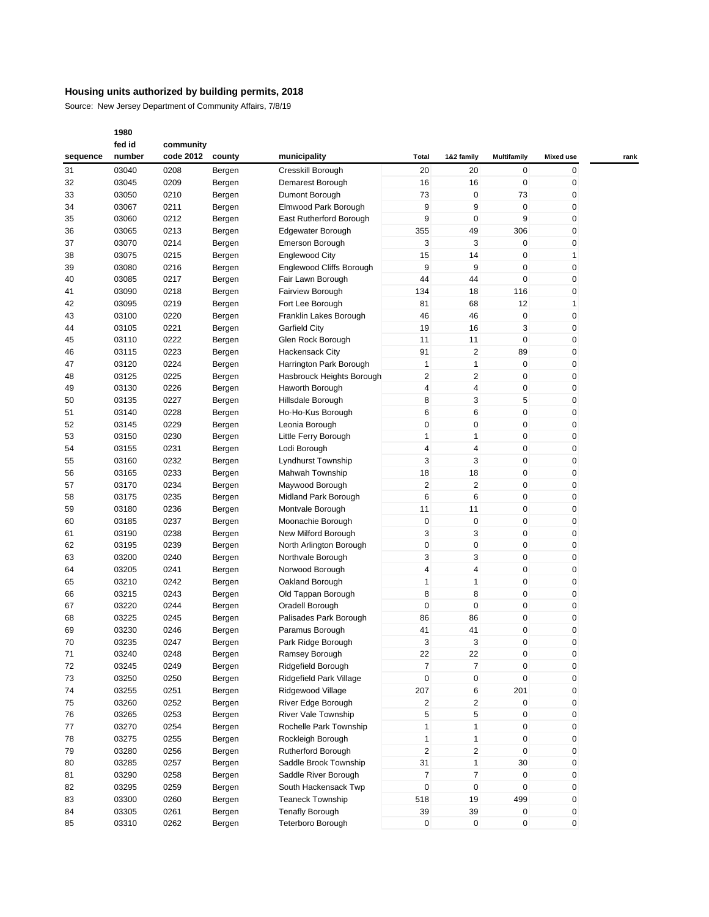Source: New Jersey Department of Community Affairs, 7/8/19

|          | fed id | community |        |                           |                         |                         |                    |                  |      |
|----------|--------|-----------|--------|---------------------------|-------------------------|-------------------------|--------------------|------------------|------|
| sequence | number | code 2012 | county | municipality              | Total                   | 1&2 family              | <b>Multifamily</b> | <b>Mixed use</b> | rank |
| 31       | 03040  | 0208      | Bergen | Cresskill Borough         | 20                      | 20                      | 0                  | 0                |      |
| 32       | 03045  | 0209      | Bergen | Demarest Borough          | 16                      | 16                      | $\mathbf 0$        | 0                |      |
| 33       | 03050  | 0210      | Bergen | Dumont Borough            | 73                      | 0                       | 73                 | 0                |      |
| 34       | 03067  | 0211      |        | Elmwood Park Borough      | 9                       | 9                       | $\mathbf 0$        | 0                |      |
|          |        |           | Bergen |                           |                         |                         |                    |                  |      |
| 35       | 03060  | 0212      | Bergen | East Rutherford Borough   | 9                       | 0                       | 9                  | 0                |      |
| 36       | 03065  | 0213      | Bergen | Edgewater Borough         | 355                     | 49                      | 306                | 0                |      |
| 37       | 03070  | 0214      | Bergen | Emerson Borough           | 3                       | 3                       | $\mathbf 0$        | 0                |      |
| 38       | 03075  | 0215      | Bergen | <b>Englewood City</b>     | 15                      | 14                      | $\mathbf 0$        | 1                |      |
| 39       | 03080  | 0216      | Bergen | Englewood Cliffs Borough  | 9                       | 9                       | $\mathbf 0$        | 0                |      |
| 40       | 03085  | 0217      | Bergen | Fair Lawn Borough         | 44                      | 44                      | $\mathbf 0$        | 0                |      |
| 41       | 03090  | 0218      | Bergen | Fairview Borough          | 134                     | 18                      | 116                | 0                |      |
| 42       | 03095  | 0219      | Bergen | Fort Lee Borough          | 81                      | 68                      | 12                 | 1                |      |
| 43       | 03100  | 0220      | Bergen | Franklin Lakes Borough    | 46                      | 46                      | $\mathbf 0$        | 0                |      |
| 44       | 03105  | 0221      | Bergen | <b>Garfield City</b>      | 19                      | 16                      | 3                  | 0                |      |
| 45       | 03110  | 0222      | Bergen | Glen Rock Borough         | 11                      | 11                      | $\mathbf 0$        | 0                |      |
| 46       | 03115  | 0223      | Bergen | <b>Hackensack City</b>    | 91                      | 2                       | 89                 | 0                |      |
| 47       |        |           |        |                           | 1                       | 1                       | $\mathbf 0$        | 0                |      |
|          | 03120  | 0224      | Bergen | Harrington Park Borough   |                         |                         |                    |                  |      |
| 48       | 03125  | 0225      | Bergen | Hasbrouck Heights Borough | 2                       | $\overline{\mathbf{c}}$ | $\mathbf 0$        | 0                |      |
| 49       | 03130  | 0226      | Bergen | Haworth Borough           | 4                       | 4                       | $\mathbf 0$        | 0                |      |
| 50       | 03135  | 0227      | Bergen | Hillsdale Borough         | 8                       | 3                       | 5                  | 0                |      |
| 51       | 03140  | 0228      | Bergen | Ho-Ho-Kus Borough         | 6                       | 6                       | $\pmb{0}$          | 0                |      |
| 52       | 03145  | 0229      | Bergen | Leonia Borough            | 0                       | 0                       | $\mathbf 0$        | 0                |      |
| 53       | 03150  | 0230      | Bergen | Little Ferry Borough      | 1                       | 1                       | $\mathbf 0$        | 0                |      |
| 54       | 03155  | 0231      | Bergen | Lodi Borough              | 4                       | 4                       | $\mathbf 0$        | 0                |      |
| 55       | 03160  | 0232      | Bergen | Lyndhurst Township        | 3                       | 3                       | $\mathbf 0$        | 0                |      |
| 56       | 03165  | 0233      | Bergen | Mahwah Township           | 18                      | 18                      | $\mathbf 0$        | 0                |      |
| 57       | 03170  | 0234      | Bergen | Maywood Borough           | 2                       | $\overline{\mathbf{c}}$ | $\mathbf 0$        | 0                |      |
| 58       | 03175  | 0235      | Bergen | Midland Park Borough      | 6                       | 6                       | $\pmb{0}$          | 0                |      |
| 59       | 03180  | 0236      | Bergen | Montvale Borough          | 11                      | 11                      | $\mathbf 0$        | 0                |      |
| 60       | 03185  | 0237      |        | Moonachie Borough         | 0                       | $\pmb{0}$               | $\pmb{0}$          | 0                |      |
|          |        |           | Bergen |                           |                         |                         |                    |                  |      |
| 61       | 03190  | 0238      | Bergen | New Milford Borough       | 3                       | 3                       | $\mathbf 0$        | 0                |      |
| 62       | 03195  | 0239      | Bergen | North Arlington Borough   | 0                       | 0                       | $\mathbf 0$        | 0                |      |
| 63       | 03200  | 0240      | Bergen | Northvale Borough         | 3                       | 3                       | $\mathbf 0$        | 0                |      |
| 64       | 03205  | 0241      | Bergen | Norwood Borough           | 4                       | $\overline{4}$          | $\mathbf 0$        | 0                |      |
| 65       | 03210  | 0242      | Bergen | Oakland Borough           | 1                       | 1                       | $\mathbf 0$        | 0                |      |
| 66       | 03215  | 0243      | Bergen | Old Tappan Borough        | 8                       | 8                       | $\mathbf 0$        | 0                |      |
| 67       | 03220  | 0244      | Bergen | Oradell Borough           | 0                       | 0                       | $\mathbf 0$        | 0                |      |
| 68       | 03225  | 0245      | Bergen | Palisades Park Borough    | 86                      | 86                      | $\mathbf 0$        | 0                |      |
| 69       | 03230  | 0246      | Bergen | Paramus Borough           | 41                      | 41                      | $\mathbf 0$        | 0                |      |
| 70       | 03235  | 0247      | Bergen | Park Ridge Borough        | 3                       | 3                       | $\mathbf 0$        | 0                |      |
| 71       | 03240  | 0248      | Bergen | Ramsey Borough            | 22                      | 22                      | $\mathbf 0$        | 0                |      |
| 72       | 03245  | 0249      | Bergen | Ridgefield Borough        | $\overline{7}$          | $\overline{7}$          | $\pmb{0}$          | 0                |      |
| 73       | 03250  | 0250      | Bergen | Ridgefield Park Village   | 0                       | 0                       | $\mathbf 0$        | 0                |      |
| 74       | 03255  | 0251      |        | Ridgewood Village         | 207                     | 6                       | 201                | 0                |      |
|          |        |           | Bergen |                           |                         |                         |                    |                  |      |
| 75       | 03260  | 0252      | Bergen | River Edge Borough        | $\overline{\mathbf{c}}$ | 2                       | $\mathbf 0$        | 0                |      |
| 76       | 03265  | 0253      | Bergen | River Vale Township       | 5                       | 5                       | $\mathbf 0$        | 0                |      |
| 77       | 03270  | 0254      | Bergen | Rochelle Park Township    | 1                       | 1                       | 0                  | 0                |      |
| 78       | 03275  | 0255      | Bergen | Rockleigh Borough         | $\mathbf{1}$            | $\mathbf{1}$            | $\mathbf 0$        | 0                |      |
| 79       | 03280  | 0256      | Bergen | Rutherford Borough        | $\overline{2}$          | $\overline{c}$          | $\pmb{0}$          | 0                |      |
| 80       | 03285  | 0257      | Bergen | Saddle Brook Township     | 31                      | $\mathbf{1}$            | $30\,$             | 0                |      |
| 81       | 03290  | 0258      | Bergen | Saddle River Borough      | $\overline{7}$          | 7                       | 0                  | 0                |      |
| 82       | 03295  | 0259      | Bergen | South Hackensack Twp      | 0                       | $\pmb{0}$               | $\mathbf{0}$       | 0                |      |
| 83       | 03300  | 0260      | Bergen | <b>Teaneck Township</b>   | 518                     | 19                      | 499                | 0                |      |
| 84       | 03305  | 0261      | Bergen | <b>Tenafly Borough</b>    | 39                      | 39                      | $\mathbf 0$        | 0                |      |
| 85       | 03310  | 0262      | Bergen | Teterboro Borough         | 0                       | $\mathbf 0$             | 0                  | 0                |      |
|          |        |           |        |                           |                         |                         |                    |                  |      |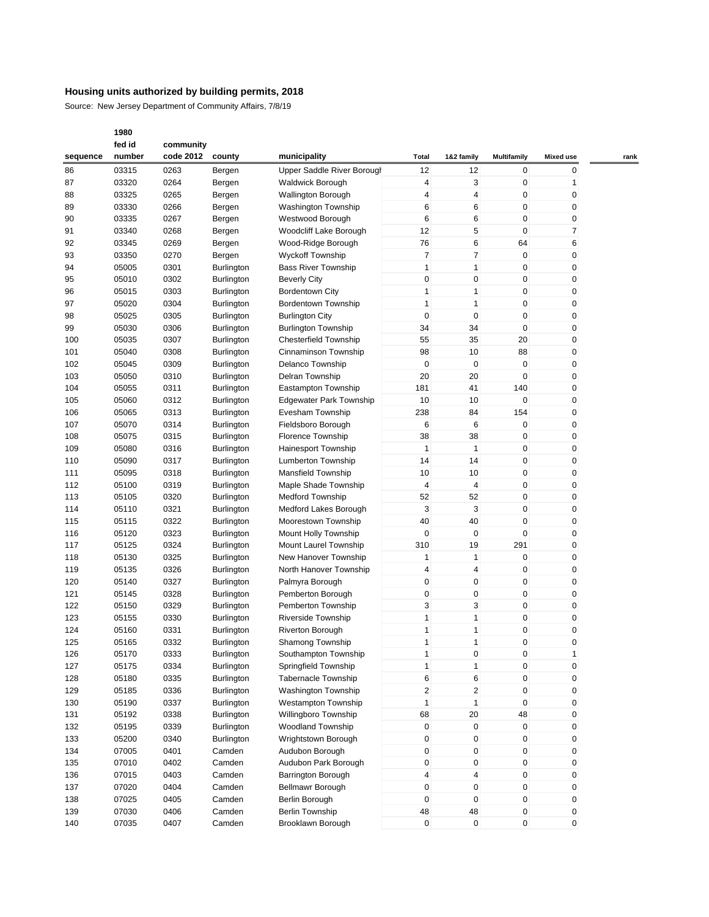Source: New Jersey Department of Community Affairs, 7/8/19

|          | fed id | community |                   |                                |              |                |                    |                  |      |
|----------|--------|-----------|-------------------|--------------------------------|--------------|----------------|--------------------|------------------|------|
| sequence | number | code 2012 | county            | municipality                   | Total        | 1&2 family     | <b>Multifamily</b> | <b>Mixed use</b> | rank |
| 86       | 03315  | 0263      | Bergen            | Upper Saddle River Borough     | 12           | 12             | 0                  | 0                |      |
| 87       | 03320  | 0264      | Bergen            | Waldwick Borough               | 4            | 3              | 0                  | 1                |      |
| 88       | 03325  | 0265      | Bergen            | <b>Wallington Borough</b>      | 4            | $\overline{4}$ | 0                  | 0                |      |
| 89       | 03330  | 0266      | Bergen            | Washington Township            | 6            | 6              | 0                  | 0                |      |
| 90       | 03335  | 0267      | Bergen            | Westwood Borough               | 6            | 6              | 0                  | 0                |      |
| 91       | 03340  | 0268      | Bergen            | Woodcliff Lake Borough         | 12           | 5              | 0                  | 7                |      |
| 92       | 03345  | 0269      | Bergen            | Wood-Ridge Borough             | 76           | 6              | 64                 | 6                |      |
| 93       | 03350  | 0270      | Bergen            | <b>Wyckoff Township</b>        | 7            | $\overline{7}$ | $\mathbf 0$        | 0                |      |
| 94       | 05005  | 0301      | <b>Burlington</b> | <b>Bass River Township</b>     | 1            | 1              | 0                  | 0                |      |
| 95       | 05010  | 0302      | <b>Burlington</b> | <b>Beverly City</b>            | 0            | $\mathbf 0$    | 0                  | 0                |      |
| 96       | 05015  | 0303      | <b>Burlington</b> | Bordentown City                | 1            | $\mathbf{1}$   | 0                  | 0                |      |
| 97       | 05020  | 0304      | <b>Burlington</b> | <b>Bordentown Township</b>     | $\mathbf{1}$ | $\mathbf{1}$   | 0                  | 0                |      |
| 98       | 05025  | 0305      | <b>Burlington</b> | <b>Burlington City</b>         | 0            | 0              | 0                  | 0                |      |
| 99       | 05030  | 0306      | <b>Burlington</b> | <b>Burlington Township</b>     | 34           | 34             | 0                  | 0                |      |
| 100      | 05035  | 0307      | <b>Burlington</b> | Chesterfield Township          | 55           | 35             | 20                 | 0                |      |
| 101      | 05040  | 0308      | <b>Burlington</b> | Cinnaminson Township           | 98           | 10             | 88                 | 0                |      |
| 102      | 05045  | 0309      | <b>Burlington</b> | Delanco Township               | 0            | 0              | 0                  | 0                |      |
| 103      | 05050  | 0310      |                   | Delran Township                | 20           | 20             | 0                  | 0                |      |
|          | 05055  |           | <b>Burlington</b> |                                |              |                |                    |                  |      |
| 104      |        | 0311      | <b>Burlington</b> | Eastampton Township            | 181          | 41             | 140                | 0                |      |
| 105      | 05060  | 0312      | Burlington        | <b>Edgewater Park Township</b> | 10           | 10             | 0                  | 0                |      |
| 106      | 05065  | 0313      | <b>Burlington</b> | Evesham Township               | 238          | 84             | 154                | 0                |      |
| 107      | 05070  | 0314      | <b>Burlington</b> | Fieldsboro Borough             | 6            | 6              | 0                  | 0                |      |
| 108      | 05075  | 0315      | <b>Burlington</b> | <b>Florence Township</b>       | 38           | 38             | 0                  | 0                |      |
| 109      | 05080  | 0316      | <b>Burlington</b> | <b>Hainesport Township</b>     | 1            | $\mathbf{1}$   | 0                  | 0                |      |
| 110      | 05090  | 0317      | <b>Burlington</b> | Lumberton Township             | 14           | 14             | 0                  | 0                |      |
| 111      | 05095  | 0318      | <b>Burlington</b> | Mansfield Township             | 10           | 10             | 0                  | 0                |      |
| 112      | 05100  | 0319      | <b>Burlington</b> | Maple Shade Township           | 4            | $\overline{4}$ | 0                  | 0                |      |
| 113      | 05105  | 0320      | <b>Burlington</b> | <b>Medford Township</b>        | 52           | 52             | 0                  | 0                |      |
| 114      | 05110  | 0321      | <b>Burlington</b> | Medford Lakes Borough          | 3            | 3              | 0                  | 0                |      |
| 115      | 05115  | 0322      | <b>Burlington</b> | Moorestown Township            | 40           | 40             | 0                  | 0                |      |
| 116      | 05120  | 0323      | <b>Burlington</b> | Mount Holly Township           | 0            | $\mathbf 0$    | 0                  | 0                |      |
| 117      | 05125  | 0324      | <b>Burlington</b> | Mount Laurel Township          | 310          | 19             | 291                | 0                |      |
| 118      | 05130  | 0325      | <b>Burlington</b> | New Hanover Township           | 1            | $\mathbf{1}$   | 0                  | 0                |      |
| 119      | 05135  | 0326      | <b>Burlington</b> | North Hanover Township         | 4            | $\overline{4}$ | 0                  | 0                |      |
| 120      | 05140  | 0327      | <b>Burlington</b> | Palmyra Borough                | 0            | $\mathbf 0$    | 0                  | 0                |      |
| 121      | 05145  | 0328      | Burlington        | Pemberton Borough              | 0            | 0              | 0                  | 0                |      |
| 122      | 05150  | 0329      | Burlington        | Pemberton Township             | 3            | 3              | 0                  | 0                |      |
| 123      | 05155  | 0330      | <b>Burlington</b> | <b>Riverside Township</b>      | 1            | $\mathbf{1}$   | 0                  | 0                |      |
| 124      | 05160  | 0331      | <b>Burlington</b> | <b>Riverton Borough</b>        | $\mathbf{1}$ | $\mathbf{1}$   | 0                  | 0                |      |
| 125      | 05165  | 0332      | Burlington        | Shamong Township               | 1            | 1              | 0                  | 0                |      |
| 126      | 05170  | 0333      | Burlington        | Southampton Township           | $\mathbf{1}$ | $\mathbf 0$    | 0                  | $\mathbf{1}$     |      |
| 127      | 05175  | 0334      | <b>Burlington</b> | Springfield Township           | $\mathbf{1}$ | $\mathbf{1}$   | 0                  | 0                |      |
| 128      | 05180  | 0335      | Burlington        | <b>Tabernacle Township</b>     | 6            | 6              | $\pmb{0}$          | 0                |      |
| 129      | 05185  | 0336      | <b>Burlington</b> | Washington Township            | 2            | $\overline{2}$ | 0                  | 0                |      |
| 130      | 05190  | 0337      | Burlington        | <b>Westampton Township</b>     | $\mathbf{1}$ | $\mathbf{1}$   | 0                  | 0                |      |
| 131      | 05192  | 0338      | Burlington        | Willingboro Township           | 68           | 20             | 48                 | 0                |      |
| 132      | 05195  | 0339      | <b>Burlington</b> | Woodland Township              | 0            | $\pmb{0}$      | 0                  | 0                |      |
| 133      | 05200  | 0340      | <b>Burlington</b> | Wrightstown Borough            | 0            | 0              | 0                  | 0                |      |
| 134      | 07005  | 0401      | Camden            | Audubon Borough                | 0            | $\mathbf 0$    | 0                  | 0                |      |
| 135      | 07010  | 0402      | Camden            | Audubon Park Borough           | 0            | $\pmb{0}$      | 0                  | 0                |      |
| 136      | 07015  | 0403      | Camden            | Barrington Borough             | 4            | $\overline{4}$ | 0                  | 0                |      |
| 137      | 07020  | 0404      | Camden            | Bellmawr Borough               | 0            | 0              | 0                  | 0                |      |
| 138      | 07025  | 0405      | Camden            | Berlin Borough                 | 0            | $\mathbf 0$    | 0                  | 0                |      |
| 139      | 07030  | 0406      | Camden            | Berlin Township                | 48           | 48             | 0                  | 0                |      |
| 140      | 07035  | 0407      | Camden            | Brooklawn Borough              | 0            | $\mathbf 0$    | 0                  | 0                |      |
|          |        |           |                   |                                |              |                |                    |                  |      |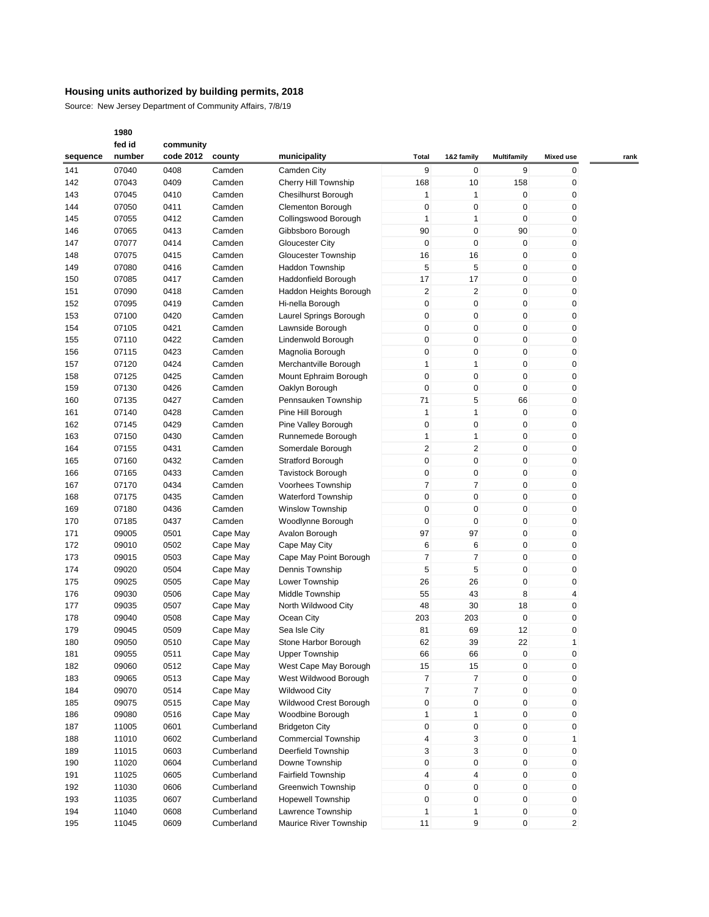Source: New Jersey Department of Community Affairs, 7/8/19

|          | fed id | community |            |                            |              |                |                    |                  |      |
|----------|--------|-----------|------------|----------------------------|--------------|----------------|--------------------|------------------|------|
| sequence | number | code 2012 | county     | municipality               | <b>Total</b> | 1&2 family     | <b>Multifamily</b> | <b>Mixed use</b> | rank |
| 141      | 07040  | 0408      | Camden     | Camden City                | 9            | 0              | 9                  | 0                |      |
| 142      | 07043  | 0409      | Camden     | Cherry Hill Township       | 168          | 10             | 158                | 0                |      |
| 143      | 07045  | 0410      | Camden     | Chesilhurst Borough        | 1            | $\mathbf{1}$   | $\mathbf 0$        | 0                |      |
| 144      | 07050  | 0411      | Camden     | <b>Clementon Borough</b>   | 0            | $\mathbf 0$    | $\mathbf 0$        | 0                |      |
| 145      | 07055  | 0412      | Camden     | Collingswood Borough       | 1            | $\mathbf{1}$   | $\mathbf 0$        | 0                |      |
| 146      | 07065  | 0413      | Camden     | Gibbsboro Borough          | 90           | $\mathbf 0$    | 90                 | 0                |      |
|          | 07077  | 0414      |            |                            | $\mathbf 0$  | $\mathbf 0$    | $\mathbf 0$        | 0                |      |
| 147      |        |           | Camden     | <b>Gloucester City</b>     |              |                |                    |                  |      |
| 148      | 07075  | 0415      | Camden     | Gloucester Township        | 16           | 16             | $\mathbf 0$        | 0                |      |
| 149      | 07080  | 0416      | Camden     | <b>Haddon Township</b>     | 5            | 5              | $\mathbf 0$        | 0                |      |
| 150      | 07085  | 0417      | Camden     | Haddonfield Borough        | 17           | 17             | $\mathbf 0$        | 0                |      |
| 151      | 07090  | 0418      | Camden     | Haddon Heights Borough     | 2            | $\overline{2}$ | $\mathbf 0$        | 0                |      |
| 152      | 07095  | 0419      | Camden     | Hi-nella Borough           | 0            | $\mathbf 0$    | $\mathbf 0$        | 0                |      |
| 153      | 07100  | 0420      | Camden     | Laurel Springs Borough     | 0            | 0              | $\mathbf 0$        | 0                |      |
| 154      | 07105  | 0421      | Camden     | Lawnside Borough           | 0            | $\mathbf 0$    | $\mathbf 0$        | 0                |      |
| 155      | 07110  | 0422      | Camden     | Lindenwold Borough         | 0            | $\mathbf 0$    | $\mathbf 0$        | 0                |      |
| 156      | 07115  | 0423      | Camden     | Magnolia Borough           | 0            | $\mathbf 0$    | $\pmb{0}$          | 0                |      |
| 157      | 07120  | 0424      | Camden     | Merchantville Borough      | 1            | $\mathbf{1}$   | $\mathbf 0$        | 0                |      |
| 158      | 07125  | 0425      | Camden     | Mount Ephraim Borough      | 0            | $\mathbf 0$    | $\mathbf 0$        | 0                |      |
| 159      | 07130  | 0426      | Camden     | Oaklyn Borough             | 0            | $\mathbf 0$    | $\mathbf 0$        | 0                |      |
| 160      | 07135  | 0427      | Camden     | Pennsauken Township        | 71           | 5              | 66                 | 0                |      |
| 161      | 07140  | 0428      | Camden     | Pine Hill Borough          | 1            | $\mathbf{1}$   | $\mathbf 0$        | 0                |      |
| 162      | 07145  | 0429      | Camden     | Pine Valley Borough        | 0            | $\mathbf 0$    | $\mathbf 0$        | 0                |      |
| 163      | 07150  | 0430      | Camden     | Runnemede Borough          | 1            | $\mathbf{1}$   | $\mathbf 0$        | 0                |      |
| 164      | 07155  | 0431      | Camden     | Somerdale Borough          | 2            | $\sqrt{2}$     | $\pmb{0}$          | 0                |      |
| 165      | 07160  | 0432      | Camden     | Stratford Borough          | 0            | $\mathbf 0$    | $\mathbf 0$        | 0                |      |
| 166      | 07165  | 0433      | Camden     | Tavistock Borough          | 0            | $\mathbf 0$    | $\mathbf 0$        | 0                |      |
|          | 07170  | 0434      | Camden     |                            | 7            | $\overline{7}$ | $\mathbf 0$        | 0                |      |
| 167      |        |           |            | Voorhees Township          |              |                |                    |                  |      |
| 168      | 07175  | 0435      | Camden     | <b>Waterford Township</b>  | 0            | $\mathbf 0$    | $\pmb{0}$          | 0                |      |
| 169      | 07180  | 0436      | Camden     | <b>Winslow Township</b>    | 0            | $\mathbf 0$    | $\mathbf 0$        | 0                |      |
| 170      | 07185  | 0437      | Camden     | Woodlynne Borough          | 0            | $\mathbf 0$    | $\mathbf 0$        | 0                |      |
| 171      | 09005  | 0501      | Cape May   | Avalon Borough             | 97           | 97             | $\mathbf 0$        | 0                |      |
| 172      | 09010  | 0502      | Cape May   | Cape May City              | 6            | 6              | $\mathbf 0$        | 0                |      |
| 173      | 09015  | 0503      | Cape May   | Cape May Point Borough     | 7            | $\overline{7}$ | $\mathbf 0$        | 0                |      |
| 174      | 09020  | 0504      | Cape May   | Dennis Township            | 5            | 5              | $\mathbf 0$        | 0                |      |
| 175      | 09025  | 0505      | Cape May   | Lower Township             | 26           | 26             | $\mathbf 0$        | 0                |      |
| 176      | 09030  | 0506      | Cape May   | Middle Township            | 55           | 43             | 8                  | 4                |      |
| 177      | 09035  | 0507      | Cape May   | North Wildwood City        | 48           | 30             | 18                 | 0                |      |
| 178      | 09040  | 0508      | Cape May   | Ocean City                 | 203          | 203            | $\mathbf 0$        | 0                |      |
| 179      | 09045  | 0509      | Cape May   | Sea Isle City              | 81           | 69             | 12                 | 0                |      |
| 180      | 09050  | 0510      | Cape May   | Stone Harbor Borough       | 62           | 39             | 22                 | 1                |      |
| 181      | 09055  | 0511      | Cape May   | <b>Upper Township</b>      | 66           | 66             | $\mathbf 0$        | 0                |      |
| 182      | 09060  | 0512      | Cape May   | West Cape May Borough      | 15           | 15             | $\pmb{0}$          | 0                |      |
| 183      | 09065  | 0513      | Cape May   | West Wildwood Borough      | 7            | $\overline{7}$ | $\pmb{0}$          | 0                |      |
| 184      | 09070  | 0514      | Cape May   | <b>Wildwood City</b>       | 7            | $\overline{7}$ | $\pmb{0}$          | 0                |      |
| 185      | 09075  | 0515      | Cape May   | Wildwood Crest Borough     | 0            | $\pmb{0}$      | $\pmb{0}$          | 0                |      |
|          |        |           |            | Woodbine Borough           |              |                |                    |                  |      |
| 186      | 09080  | 0516      | Cape May   |                            | 1            | $\mathbf{1}$   | $\pmb{0}$          | 0                |      |
| 187      | 11005  | 0601      | Cumberland | <b>Bridgeton City</b>      | 0            | 0              | 0                  | 0                |      |
| 188      | 11010  | 0602      | Cumberland | <b>Commercial Township</b> | 4            | 3              | $\pmb{0}$          | 1                |      |
| 189      | 11015  | 0603      | Cumberland | Deerfield Township         | 3            | 3              | $\pmb{0}$          | 0                |      |
| 190      | 11020  | 0604      | Cumberland | Downe Township             | 0            | $\pmb{0}$      | $\pmb{0}$          | 0                |      |
| 191      | 11025  | 0605      | Cumberland | Fairfield Township         | 4            | 4              | 0                  | 0                |      |
| 192      | 11030  | 0606      | Cumberland | Greenwich Township         | 0            | $\pmb{0}$      | $\mathbf 0$        | 0                |      |
| 193      | 11035  | 0607      | Cumberland | <b>Hopewell Township</b>   | 0            | $\pmb{0}$      | $\pmb{0}$          | 0                |      |
| 194      | 11040  | 0608      | Cumberland | Lawrence Township          | 1            | $\mathbf{1}$   | $\pmb{0}$          | 0                |      |
| 195      | 11045  | 0609      | Cumberland | Maurice River Township     | 11           | 9              | 0                  | $\overline{c}$   |      |
|          |        |           |            |                            |              |                |                    |                  |      |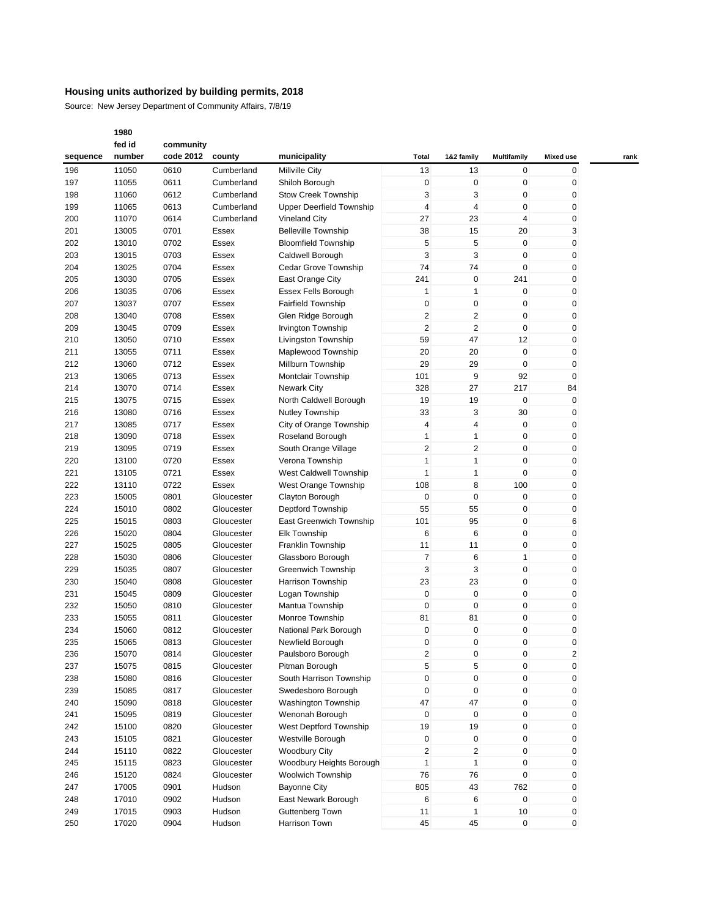Source: New Jersey Department of Community Affairs, 7/8/19

|          | fed id | community |            |                                 |                         |                         |                |                  |      |
|----------|--------|-----------|------------|---------------------------------|-------------------------|-------------------------|----------------|------------------|------|
| sequence | number | code 2012 | county     | municipality                    | Total                   | 1&2 family              | Multifamily    | <b>Mixed use</b> | rank |
| 196      | 11050  | 0610      | Cumberland | <b>Millville City</b>           | 13                      | 13                      | 0              | 0                |      |
| 197      | 11055  | 0611      | Cumberland | Shiloh Borough                  | 0                       | $\mathbf 0$             | 0              | 0                |      |
| 198      | 11060  | 0612      | Cumberland | <b>Stow Creek Township</b>      | 3                       | 3                       | $\mathbf 0$    | 0                |      |
| 199      | 11065  | 0613      | Cumberland | <b>Upper Deerfield Township</b> | $\overline{4}$          | $\overline{4}$          | $\mathbf 0$    | 0                |      |
| 200      | 11070  | 0614      | Cumberland | <b>Vineland City</b>            | 27                      | 23                      | $\overline{4}$ | 0                |      |
| 201      | 13005  | 0701      | Essex      | <b>Belleville Township</b>      | 38                      | 15                      | 20             | 3                |      |
| 202      | 13010  | 0702      | Essex      | <b>Bloomfield Township</b>      | 5                       | 5                       | $\mathbf{0}$   | 0                |      |
| 203      | 13015  | 0703      | Essex      | Caldwell Borough                | 3                       | 3                       | 0              | 0                |      |
| 204      | 13025  | 0704      | Essex      | Cedar Grove Township            | 74                      | 74                      | 0              | 0                |      |
| 205      |        |           |            |                                 | 241                     | $\mathbf 0$             | 241            | 0                |      |
|          | 13030  | 0705      | Essex      | East Orange City                |                         |                         |                |                  |      |
| 206      | 13035  | 0706      | Essex      | Essex Fells Borough             | 1                       | $\mathbf{1}$            | 0              | 0                |      |
| 207      | 13037  | 0707      | Essex      | <b>Fairfield Township</b>       | 0                       | 0                       | 0              | 0                |      |
| 208      | 13040  | 0708      | Essex      | Glen Ridge Borough              | $\overline{\mathbf{c}}$ | $\overline{\mathbf{c}}$ | 0              | 0                |      |
| 209      | 13045  | 0709      | Essex      | Irvington Township              | $\overline{2}$          | $\overline{2}$          | 0              | 0                |      |
| 210      | 13050  | 0710      | Essex      | Livingston Township             | 59                      | 47                      | 12             | 0                |      |
| 211      | 13055  | 0711      | Essex      | Maplewood Township              | 20                      | 20                      | $\mathbf{0}$   | 0                |      |
| 212      | 13060  | 0712      | Essex      | Millburn Township               | 29                      | 29                      | 0              | 0                |      |
| 213      | 13065  | 0713      | Essex      | Montclair Township              | 101                     | 9                       | 92             | $\mathbf 0$      |      |
| 214      | 13070  | 0714      | Essex      | <b>Newark City</b>              | 328                     | 27                      | 217            | 84               |      |
| 215      | 13075  | 0715      | Essex      | North Caldwell Borough          | 19                      | 19                      | $\mathbf 0$    | 0                |      |
| 216      | 13080  | 0716      | Essex      | <b>Nutley Township</b>          | 33                      | 3                       | 30             | 0                |      |
| 217      | 13085  | 0717      | Essex      | City of Orange Township         | 4                       | $\overline{4}$          | 0              | 0                |      |
| 218      | 13090  | 0718      | Essex      | Roseland Borough                | $\mathbf{1}$            | $\mathbf{1}$            | 0              | 0                |      |
| 219      | 13095  | 0719      | Essex      | South Orange Village            | $\overline{2}$          | $\overline{\mathbf{c}}$ | 0              | 0                |      |
| 220      | 13100  | 0720      | Essex      | Verona Township                 | $\mathbf{1}$            | $\mathbf{1}$            | 0              | 0                |      |
| 221      | 13105  | 0721      | Essex      | West Caldwell Township          | $\mathbf{1}$            | $\mathbf{1}$            | $\mathbf 0$    | 0                |      |
| 222      | 13110  | 0722      | Essex      | West Orange Township            | 108                     | 8                       | 100            | 0                |      |
| 223      | 15005  | 0801      | Gloucester | Clayton Borough                 | 0                       | $\mathbf 0$             | $\mathbf{0}$   | 0                |      |
| 224      | 15010  | 0802      | Gloucester | Deptford Township               | 55                      | 55                      | 0              | 0                |      |
| 225      | 15015  | 0803      | Gloucester | East Greenwich Township         | 101                     | 95                      | 0              | 6                |      |
| 226      | 15020  | 0804      | Gloucester | <b>Elk Township</b>             | 6                       | 6                       | 0              | 0                |      |
| 227      | 15025  | 0805      | Gloucester | Franklin Township               | 11                      | 11                      | $\mathbf 0$    | 0                |      |
| 228      | 15030  | 0806      | Gloucester | Glassboro Borough               | $\overline{7}$          | 6                       | $\mathbf{1}$   | 0                |      |
| 229      | 15035  | 0807      | Gloucester | Greenwich Township              | 3                       | 3                       | $\mathbf 0$    | 0                |      |
| 230      | 15040  | 0808      | Gloucester | Harrison Township               | 23                      | 23                      | 0              | 0                |      |
|          |        |           |            |                                 |                         |                         |                |                  |      |
| 231      | 15045  | 0809      | Gloucester | Logan Township                  | 0                       | $\mathbf 0$             | 0              | 0                |      |
| 232      | 15050  | 0810      | Gloucester | Mantua Township                 | 0                       | $\mathbf 0$             | 0              | 0                |      |
| 233      | 15055  | 0811      | Gloucester | Monroe Township                 | 81                      | 81                      | 0              | 0                |      |
| 234      | 15060  | 0812      | Gloucester | National Park Borough           | 0                       | 0                       | 0              | 0                |      |
| 235      | 15065  | 0813      | Gloucester | Newfield Borough                | 0                       | $\mathbf 0$             | 0              | 0                |      |
| 236      | 15070  | 0814      | Gloucester | Paulsboro Borough               | 2                       | $\mathbf 0$             | 0              | $\overline{2}$   |      |
| 237      | 15075  | 0815      | Gloucester | Pitman Borough                  | 5                       | 5                       | 0              | 0                |      |
| 238      | 15080  | 0816      | Gloucester | South Harrison Township         | $\pmb{0}$               | $\pmb{0}$               | 0              | 0                |      |
| 239      | 15085  | 0817      | Gloucester | Swedesboro Borough              | 0                       | $\pmb{0}$               | 0              | 0                |      |
| 240      | 15090  | 0818      | Gloucester | <b>Washington Township</b>      | 47                      | 47                      | 0              | 0                |      |
| 241      | 15095  | 0819      | Gloucester | Wenonah Borough                 | 0                       | $\pmb{0}$               | 0              | 0                |      |
| 242      | 15100  | 0820      | Gloucester | West Deptford Township          | 19                      | 19                      | 0              | 0                |      |
| 243      | 15105  | 0821      | Gloucester | Westville Borough               | 0                       | $\pmb{0}$               | 0              | 0                |      |
| 244      | 15110  | 0822      | Gloucester | <b>Woodbury City</b>            | $\overline{2}$          | $\overline{c}$          | 0              | 0                |      |
| 245      | 15115  | 0823      | Gloucester | Woodbury Heights Borough        | $\mathbf{1}$            | $\mathbf{1}$            | 0              | 0                |      |
| 246      | 15120  | 0824      | Gloucester | <b>Woolwich Township</b>        | 76                      | 76                      | 0              | 0                |      |
| 247      | 17005  | 0901      | Hudson     | <b>Bayonne City</b>             | 805                     | 43                      | 762            | 0                |      |
| 248      | 17010  | 0902      | Hudson     | East Newark Borough             | 6                       | 6                       | $\mathsf 0$    | 0                |      |
| 249      | 17015  | 0903      | Hudson     | Guttenberg Town                 | 11                      | $\mathbf{1}$            | 10             | 0                |      |
| 250      | 17020  | 0904      | Hudson     | Harrison Town                   | 45                      | 45                      | $\mathbf 0$    | 0                |      |
|          |        |           |            |                                 |                         |                         |                |                  |      |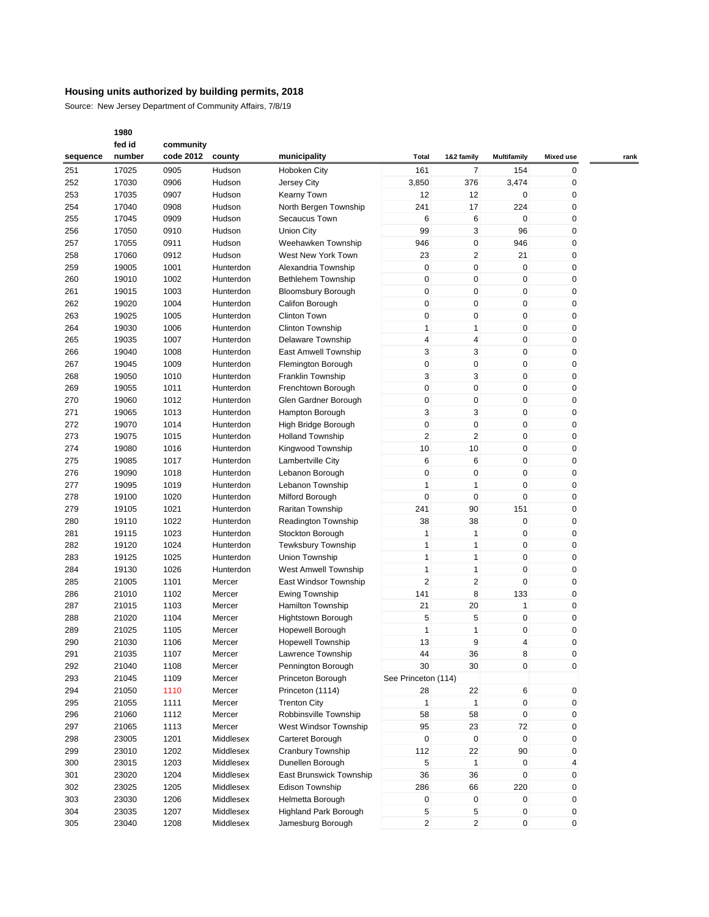Source: New Jersey Department of Community Affairs, 7/8/19

|          | fed id | community |           |                              |                     |                  |                    |                  |      |
|----------|--------|-----------|-----------|------------------------------|---------------------|------------------|--------------------|------------------|------|
| sequence | number | code 2012 | county    | municipality                 | Total               | 1&2 family       | <b>Multifamily</b> | <b>Mixed use</b> | rank |
| 251      | 17025  | 0905      | Hudson    | Hoboken City                 | 161                 | 7                | 154                | 0                |      |
| 252      | 17030  | 0906      | Hudson    | Jersey City                  | 3,850               | 376              | 3,474              | 0                |      |
| 253      | 17035  | 0907      | Hudson    | <b>Kearny Town</b>           | 12                  | 12               | $\mathbf 0$        | 0                |      |
| 254      | 17040  | 0908      | Hudson    | North Bergen Township        | 241                 | 17               | 224                | 0                |      |
|          |        |           |           |                              |                     |                  |                    |                  |      |
| 255      | 17045  | 0909      | Hudson    | Secaucus Town                | 6                   | 6                | 0                  | 0                |      |
| 256      | 17050  | 0910      | Hudson    | <b>Union City</b>            | 99                  | 3                | 96                 | 0                |      |
| 257      | 17055  | 0911      | Hudson    | Weehawken Township           | 946                 | 0                | 946                | 0                |      |
| 258      | 17060  | 0912      | Hudson    | West New York Town           | 23                  | 2                | 21                 | 0                |      |
| 259      | 19005  | 1001      | Hunterdon | Alexandria Township          | $\mathbf 0$         | 0                | $\mathbf 0$        | 0                |      |
| 260      | 19010  | 1002      | Hunterdon | Bethlehem Township           | $\mathbf 0$         | 0                | $\mathbf 0$        | 0                |      |
| 261      | 19015  | 1003      | Hunterdon | <b>Bloomsbury Borough</b>    | 0                   | 0                | $\mathbf 0$        | 0                |      |
| 262      | 19020  | 1004      | Hunterdon | Califon Borough              | $\mathbf 0$         | 0                | $\mathbf 0$        | 0                |      |
| 263      | 19025  | 1005      | Hunterdon | <b>Clinton Town</b>          | 0                   | 0                | $\mathbf 0$        | 0                |      |
| 264      | 19030  | 1006      | Hunterdon | <b>Clinton Township</b>      | $\mathbf{1}$        | 1                | $\mathbf 0$        | 0                |      |
| 265      | 19035  | 1007      | Hunterdon | Delaware Township            | 4                   | 4                | $\mathbf 0$        | 0                |      |
| 266      | 19040  | 1008      | Hunterdon | East Amwell Township         | 3                   | 3                | $\mathbf 0$        | 0                |      |
| 267      | 19045  | 1009      | Hunterdon | Flemington Borough           | 0                   | 0                | $\mathbf 0$        | 0                |      |
| 268      | 19050  | 1010      | Hunterdon | Franklin Township            | 3                   | 3                | $\mathbf 0$        | 0                |      |
|          |        |           |           |                              |                     |                  |                    |                  |      |
| 269      | 19055  | 1011      | Hunterdon | Frenchtown Borough           | 0                   | 0                | $\mathbf 0$        | 0                |      |
| 270      | 19060  | 1012      | Hunterdon | Glen Gardner Borough         | 0                   | 0                | $\mathbf 0$        | 0                |      |
| 271      | 19065  | 1013      | Hunterdon | Hampton Borough              | 3                   | 3                | $\mathbf 0$        | 0                |      |
| 272      | 19070  | 1014      | Hunterdon | High Bridge Borough          | $\mathbf 0$         | 0                | $\mathbf 0$        | 0                |      |
| 273      | 19075  | 1015      | Hunterdon | <b>Holland Township</b>      | $\overline{2}$      | 2                | $\mathbf 0$        | 0                |      |
| 274      | 19080  | 1016      | Hunterdon | Kingwood Township            | 10                  | 10               | 0                  | 0                |      |
| 275      | 19085  | 1017      | Hunterdon | Lambertville City            | 6                   | 6                | $\mathbf 0$        | 0                |      |
| 276      | 19090  | 1018      | Hunterdon | Lebanon Borough              | $\mathbf 0$         | 0                | $\mathbf 0$        | 0                |      |
| 277      | 19095  | 1019      | Hunterdon | Lebanon Township             | 1                   | 1                | $\mathbf 0$        | 0                |      |
| 278      | 19100  | 1020      | Hunterdon | Milford Borough              | 0                   | 0                | $\mathbf 0$        | 0                |      |
| 279      | 19105  | 1021      | Hunterdon | Raritan Township             | 241                 | 90               | 151                | 0                |      |
| 280      | 19110  | 1022      | Hunterdon | Readington Township          | 38                  | 38               | $\mathbf 0$        | 0                |      |
| 281      | 19115  | 1023      | Hunterdon | Stockton Borough             | 1                   | 1                | $\mathbf 0$        | 0                |      |
| 282      | 19120  | 1024      | Hunterdon | <b>Tewksbury Township</b>    | 1                   | 1                | $\pmb{0}$          | 0                |      |
| 283      | 19125  | 1025      | Hunterdon | Union Township               | $\mathbf{1}$        | 1                | $\mathbf 0$        | 0                |      |
| 284      | 19130  | 1026      | Hunterdon | <b>West Amwell Township</b>  | 1                   | 1                | $\mathbf 0$        | 0                |      |
| 285      | 21005  | 1101      |           |                              | $\overline{2}$      | 2                | $\mathbf 0$        | 0                |      |
|          |        |           | Mercer    | East Windsor Township        |                     |                  |                    |                  |      |
| 286      | 21010  | 1102      | Mercer    | <b>Ewing Township</b>        | 141                 | 8                | 133                | 0                |      |
| 287      | 21015  | 1103      | Mercer    | <b>Hamilton Township</b>     | 21                  | 20               | $\mathbf{1}$       | 0                |      |
| 288      | 21020  | 1104      | Mercer    | Hightstown Borough           | 5                   | 5                | $\mathbf 0$        | 0                |      |
| 289      | 21025  | 1105      | Mercer    | Hopewell Borough             | 1                   | 1                | $\mathbf 0$        | 0                |      |
| 290      | 21030  | 1106      | Mercer    | <b>Hopewell Township</b>     | 13                  | 9                | 4                  | 0                |      |
| 291      | 21035  | 1107      | Mercer    | Lawrence Township            | 44                  | 36               | 8                  | 0                |      |
| 292      | 21040  | 1108      | Mercer    | Pennington Borough           | 30                  | 30               | $\mathbf 0$        | 0                |      |
| 293      | 21045  | 1109      | Mercer    | Princeton Borough            | See Princeton (114) |                  |                    |                  |      |
| 294      | 21050  | 1110      | Mercer    | Princeton (1114)             | 28                  | 22               | 6                  | 0                |      |
| 295      | 21055  | 1111      | Mercer    | <b>Trenton City</b>          | $\mathbf{1}$        | $\mathbf{1}$     | $\mathbf 0$        | 0                |      |
| 296      | 21060  | 1112      | Mercer    | Robbinsville Township        | 58                  | 58               | $\pmb{0}$          | 0                |      |
| 297      | 21065  | 1113      | Mercer    | West Windsor Township        | 95                  | 23               | 72                 | 0                |      |
| 298      | 23005  | 1201      | Middlesex | Carteret Borough             | $\mathbf 0$         | $\boldsymbol{0}$ | $\mathbf 0$        | 0                |      |
| 299      | 23010  | 1202      | Middlesex | Cranbury Township            | 112                 | 22               | 90                 | 0                |      |
|          |        |           |           |                              |                     |                  |                    |                  |      |
| 300      | 23015  | 1203      | Middlesex | Dunellen Borough             | 5                   | $\mathbf{1}$     | $\pmb{0}$          | 4                |      |
| 301      | 23020  | 1204      | Middlesex | East Brunswick Township      | 36                  | 36               | 0                  | 0                |      |
| 302      | 23025  | 1205      | Middlesex | Edison Township              | 286                 | 66               | 220                | 0                |      |
| 303      | 23030  | 1206      | Middlesex | Helmetta Borough             | 0                   | 0                | $\mathbf 0$        | 0                |      |
| 304      | 23035  | 1207      | Middlesex | <b>Highland Park Borough</b> | 5                   | 5                | $\mathbf 0$        | 0                |      |
| 305      | 23040  | 1208      | Middlesex | Jamesburg Borough            | $\overline{2}$      | 2                | $\mathbf 0$        | 0                |      |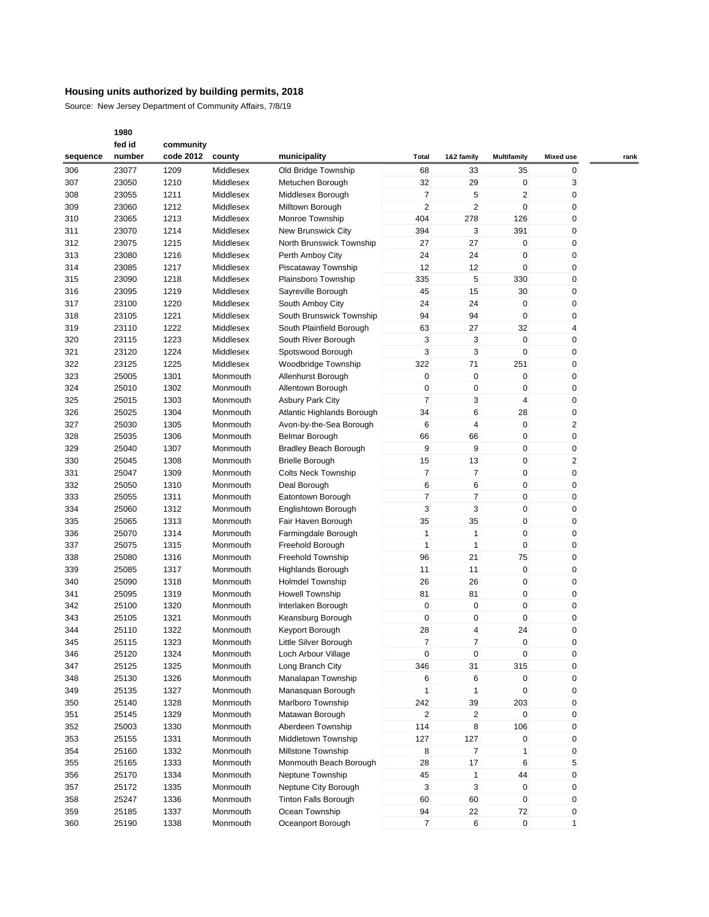Source: New Jersey Department of Community Affairs, 7/8/19

|          | fed id | community |           |                              |                |                |                    |                |      |
|----------|--------|-----------|-----------|------------------------------|----------------|----------------|--------------------|----------------|------|
| sequence | number | code 2012 | county    | municipality                 | Total          | 1&2 family     | <b>Multifamily</b> | Mixed use      | rank |
| 306      | 23077  | 1209      | Middlesex | Old Bridge Township          | 68             | 33             | 35                 | 0              |      |
| 307      | 23050  | 1210      | Middlesex | Metuchen Borough             | 32             | 29             | 0                  | 3              |      |
| 308      | 23055  | 1211      | Middlesex | Middlesex Borough            | $\overline{7}$ | 5              | $\overline{2}$     | 0              |      |
| 309      | 23060  | 1212      | Middlesex | Milltown Borough             | $\overline{c}$ | $\overline{2}$ | $\mathbf 0$        | 0              |      |
| 310      | 23065  | 1213      | Middlesex | Monroe Township              | 404            | 278            | 126                | 0              |      |
| 311      | 23070  | 1214      | Middlesex | New Brunswick City           | 394            | 3              | 391                | 0              |      |
| 312      | 23075  | 1215      | Middlesex | North Brunswick Township     | 27             | 27             | $\mathbf 0$        | 0              |      |
| 313      | 23080  | 1216      | Middlesex | Perth Amboy City             | 24             | 24             | $\mathbf 0$        | 0              |      |
| 314      | 23085  | 1217      | Middlesex |                              | 12             | 12             | 0                  | 0              |      |
|          |        |           | Middlesex | Piscataway Township          | 335            | 5              | 330                | 0              |      |
| 315      | 23090  | 1218      |           | Plainsboro Township          |                |                |                    |                |      |
| 316      | 23095  | 1219      | Middlesex | Sayreville Borough           | 45             | 15             | 30                 | 0              |      |
| 317      | 23100  | 1220      | Middlesex | South Amboy City             | 24             | 24             | $\mathbf 0$        | 0              |      |
| 318      | 23105  | 1221      | Middlesex | South Brunswick Township     | 94             | 94             | 0                  | 0              |      |
| 319      | 23110  | 1222      | Middlesex | South Plainfield Borough     | 63             | 27             | 32                 | 4              |      |
| 320      | 23115  | 1223      | Middlesex | South River Borough          | 3              | 3              | $\mathbf 0$        | 0              |      |
| 321      | 23120  | 1224      | Middlesex | Spotswood Borough            | 3              | 3              | $\mathbf 0$        | 0              |      |
| 322      | 23125  | 1225      | Middlesex | Woodbridge Township          | 322            | 71             | 251                | 0              |      |
| 323      | 25005  | 1301      | Monmouth  | Allenhurst Borough           | 0              | 0              | $\mathbf 0$        | 0              |      |
| 324      | 25010  | 1302      | Monmouth  | Allentown Borough            | $\pmb{0}$      | 0              | $\mathbf 0$        | 0              |      |
| 325      | 25015  | 1303      | Monmouth  | <b>Asbury Park City</b>      | 7              | 3              | $\overline{4}$     | 0              |      |
| 326      | 25025  | 1304      | Monmouth  | Atlantic Highlands Borough   | 34             | 6              | 28                 | 0              |      |
| 327      | 25030  | 1305      | Monmouth  | Avon-by-the-Sea Borough      | 6              | 4              | $\mathbf 0$        | $\overline{c}$ |      |
| 328      | 25035  | 1306      | Monmouth  | Belmar Borough               | 66             | 66             | $\mathbf 0$        | 0              |      |
| 329      | 25040  | 1307      | Monmouth  | <b>Bradley Beach Borough</b> | 9              | 9              | $\mathbf 0$        | 0              |      |
| 330      | 25045  | 1308      | Monmouth  | <b>Brielle Borough</b>       | 15             | 13             | 0                  | 2              |      |
| 331      | 25047  | 1309      | Monmouth  | <b>Colts Neck Township</b>   | 7              | 7              | $\mathbf 0$        | 0              |      |
| 332      | 25050  | 1310      | Monmouth  | Deal Borough                 | 6              | 6              | $\mathbf 0$        | 0              |      |
| 333      | 25055  | 1311      | Monmouth  | Eatontown Borough            | 7              | 7              | $\mathbf 0$        | 0              |      |
| 334      | 25060  | 1312      | Monmouth  | Englishtown Borough          | 3              | 3              | $\mathbf 0$        | 0              |      |
| 335      | 25065  | 1313      | Monmouth  | Fair Haven Borough           | 35             | 35             | $\mathbf 0$        | 0              |      |
| 336      | 25070  | 1314      | Monmouth  | Farmingdale Borough          | $\mathbf{1}$   | 1              | $\mathbf 0$        | 0              |      |
| 337      | 25075  | 1315      | Monmouth  | Freehold Borough             | $\mathbf{1}$   | 1              | $\mathbf 0$        | 0              |      |
| 338      | 25080  | 1316      | Monmouth  | <b>Freehold Township</b>     | 96             | 21             | 75                 | 0              |      |
| 339      | 25085  | 1317      | Monmouth  | Highlands Borough            | 11             | 11             | $\mathbf 0$        | 0              |      |
| 340      | 25090  | 1318      | Monmouth  | <b>Holmdel Township</b>      | 26             | 26             | $\mathbf 0$        | 0              |      |
| 341      | 25095  | 1319      | Monmouth  | <b>Howell Township</b>       | 81             | 81             | 0                  | 0              |      |
|          |        |           |           |                              | 0              | $\mathbf 0$    | $\mathbf 0$        |                |      |
| 342      | 25100  | 1320      | Monmouth  | Interlaken Borough           |                |                |                    | 0              |      |
| 343      | 25105  | 1321      | Monmouth  | Keansburg Borough            | $\mathbf 0$    | 0              | $\mathbf 0$        | 0              |      |
| 344      | 25110  | 1322      | Monmouth  | Keyport Borough              | 28             | 4              | 24                 | 0              |      |
| 345      | 25115  | 1323      | Monmouth  | Little Silver Borough        | 7              | 7              | 0                  | 0              |      |
| 346      | 25120  | 1324      | Monmouth  | Loch Arbour Village          | 0              | 0              | 0                  | 0              |      |
| 347      | 25125  | 1325      | Monmouth  | Long Branch City             | 346            | 31             | 315                | 0              |      |
| 348      | 25130  | 1326      | Monmouth  | Manalapan Township           | 6              | 6              | $\mathbf 0$        | 0              |      |
| 349      | 25135  | 1327      | Monmouth  | Manasquan Borough            | 1              | 1              | 0                  | 0              |      |
| 350      | 25140  | 1328      | Monmouth  | Marlboro Township            | 242            | 39             | 203                | 0              |      |
| 351      | 25145  | 1329      | Monmouth  | Matawan Borough              | $\overline{2}$ | 2              | 0                  | 0              |      |
| 352      | 25003  | 1330      | Monmouth  | Aberdeen Township            | 114            | 8              | 106                | 0              |      |
| 353      | 25155  | 1331      | Monmouth  | Middletown Township          | 127            | 127            | 0                  | 0              |      |
| 354      | 25160  | 1332      | Monmouth  | Millstone Township           | 8              | $\overline{7}$ | 1                  | 0              |      |
| 355      | 25165  | 1333      | Monmouth  | Monmouth Beach Borough       | 28             | 17             | 6                  | 5              |      |
| 356      | 25170  | 1334      | Monmouth  | Neptune Township             | 45             | $\mathbf{1}$   | 44                 | 0              |      |
| 357      | 25172  | 1335      | Monmouth  | Neptune City Borough         | 3              | 3              | 0                  | 0              |      |
| 358      | 25247  | 1336      | Monmouth  | <b>Tinton Falls Borough</b>  | 60             | 60             | $\mathbf 0$        | 0              |      |
| 359      | 25185  | 1337      | Monmouth  | Ocean Township               | 94             | 22             | 72                 | 0              |      |
| 360      | 25190  | 1338      | Monmouth  | Oceanport Borough            | $\overline{7}$ | 6              | $\mathbf 0$        | $\mathbf{1}$   |      |
|          |        |           |           |                              |                |                |                    |                |      |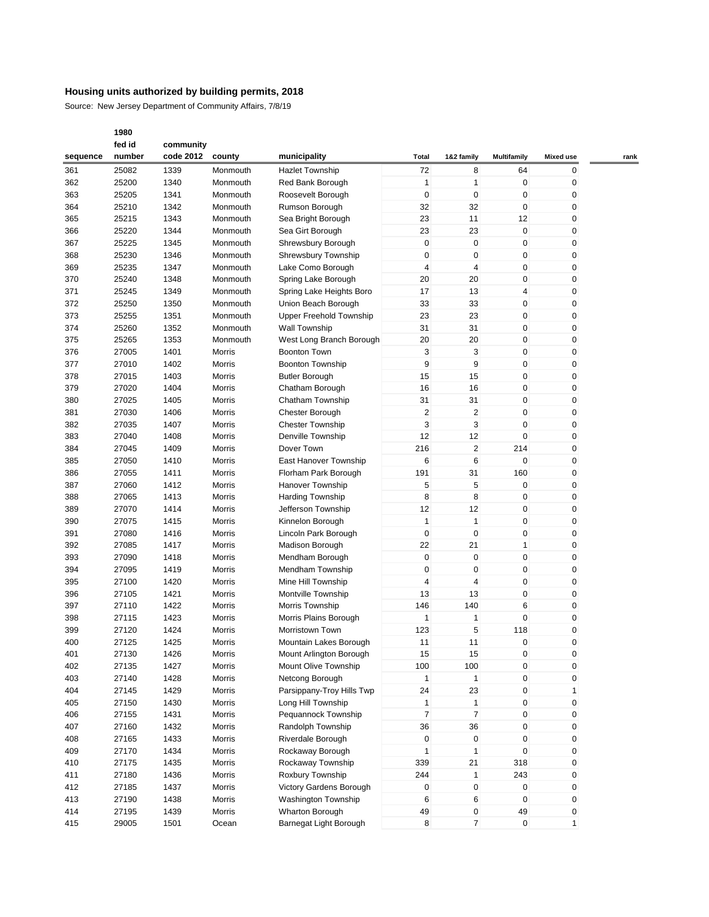Source: New Jersey Department of Community Affairs, 7/8/19

|          | fed id | community |          |                                |                |                         |                |                  |      |
|----------|--------|-----------|----------|--------------------------------|----------------|-------------------------|----------------|------------------|------|
| sequence | number | code 2012 | county   | municipality                   | Total          | 1&2 family              | Multifamily    | <b>Mixed use</b> | rank |
| 361      | 25082  | 1339      | Monmouth | <b>Hazlet Township</b>         | 72             | 8                       | 64             | 0                |      |
| 362      | 25200  | 1340      | Monmouth | Red Bank Borough               | 1              | $\mathbf{1}$            | $\mathbf 0$    | 0                |      |
| 363      | 25205  | 1341      | Monmouth | Roosevelt Borough              | $\mathbf 0$    | $\mathbf 0$             | $\mathbf 0$    | 0                |      |
| 364      | 25210  | 1342      | Monmouth | Rumson Borough                 | 32             | 32                      | $\mathbf 0$    | 0                |      |
| 365      | 25215  | 1343      | Monmouth | Sea Bright Borough             | 23             | 11                      | 12             | 0                |      |
| 366      | 25220  | 1344      | Monmouth | Sea Girt Borough               | 23             | 23                      | $\mathbf 0$    | 0                |      |
| 367      | 25225  | 1345      | Monmouth | Shrewsbury Borough             | $\mathbf 0$    | $\pmb{0}$               | $\mathbf 0$    | 0                |      |
|          | 25230  |           |          |                                | $\mathbf 0$    | $\pmb{0}$               | $\pmb{0}$      | 0                |      |
| 368      |        | 1346      | Monmouth | Shrewsbury Township            |                |                         |                |                  |      |
| 369      | 25235  | 1347      | Monmouth | Lake Como Borough              | 4              | 4                       | $\mathbf 0$    | 0                |      |
| 370      | 25240  | 1348      | Monmouth | Spring Lake Borough            | 20             | 20                      | $\mathbf 0$    | 0                |      |
| 371      | 25245  | 1349      | Monmouth | Spring Lake Heights Boro       | 17             | 13                      | $\overline{4}$ | 0                |      |
| 372      | 25250  | 1350      | Monmouth | Union Beach Borough            | 33             | 33                      | $\mathbf 0$    | 0                |      |
| 373      | 25255  | 1351      | Monmouth | <b>Upper Freehold Township</b> | 23             | 23                      | 0              | 0                |      |
| 374      | 25260  | 1352      | Monmouth | Wall Township                  | 31             | 31                      | $\mathbf 0$    | 0                |      |
| 375      | 25265  | 1353      | Monmouth | West Long Branch Borough       | 20             | 20                      | $\mathbf 0$    | 0                |      |
| 376      | 27005  | 1401      | Morris   | <b>Boonton Town</b>            | 3              | 3                       | $\mathbf 0$    | 0                |      |
| 377      | 27010  | 1402      | Morris   | <b>Boonton Township</b>        | 9              | 9                       | 0              | 0                |      |
| 378      | 27015  | 1403      | Morris   | <b>Butler Borough</b>          | 15             | 15                      | $\mathbf 0$    | 0                |      |
| 379      | 27020  | 1404      | Morris   | Chatham Borough                | 16             | 16                      | $\mathbf 0$    | 0                |      |
| 380      | 27025  | 1405      | Morris   | Chatham Township               | 31             | 31                      | $\mathbf 0$    | 0                |      |
| 381      | 27030  | 1406      | Morris   | Chester Borough                | 2              | $\overline{\mathbf{c}}$ | 0              | 0                |      |
| 382      | 27035  | 1407      | Morris   | <b>Chester Township</b>        | 3              | 3                       | $\mathbf 0$    | 0                |      |
| 383      | 27040  | 1408      | Morris   | Denville Township              | 12             | 12                      | $\mathbf 0$    | 0                |      |
| 384      | 27045  | 1409      | Morris   | Dover Town                     | 216            | $\overline{\mathbf{c}}$ | 214            | 0                |      |
| 385      | 27050  | 1410      | Morris   | East Hanover Township          | 6              | 6                       | $\mathbf 0$    | 0                |      |
| 386      | 27055  | 1411      | Morris   | Florham Park Borough           | 191            | 31                      | 160            | 0                |      |
| 387      | 27060  | 1412      | Morris   | Hanover Township               | 5              | 5                       | $\mathbf 0$    | 0                |      |
|          |        |           |          |                                |                | 8                       | $\mathbf 0$    | 0                |      |
| 388      | 27065  | 1413      | Morris   | <b>Harding Township</b>        | 8              |                         |                |                  |      |
| 389      | 27070  | 1414      | Morris   | Jefferson Township             | 12             | 12                      | $\mathbf 0$    | 0                |      |
| 390      | 27075  | 1415      | Morris   | Kinnelon Borough               | 1              | $\mathbf{1}$            | $\mathbf 0$    | 0                |      |
| 391      | 27080  | 1416      | Morris   | Lincoln Park Borough           | 0              | $\pmb{0}$               | $\pmb{0}$      | 0                |      |
| 392      | 27085  | 1417      | Morris   | Madison Borough                | 22             | 21                      | $\mathbf{1}$   | 0                |      |
| 393      | 27090  | 1418      | Morris   | Mendham Borough                | 0              | 0                       | $\mathbf 0$    | 0                |      |
| 394      | 27095  | 1419      | Morris   | Mendham Township               | $\mathbf 0$    | $\mathbf 0$             | $\mathbf 0$    | 0                |      |
| 395      | 27100  | 1420      | Morris   | Mine Hill Township             | 4              | 4                       | $\mathbf 0$    | 0                |      |
| 396      | 27105  | 1421      | Morris   | Montville Township             | 13             | 13                      | $\mathbf 0$    | 0                |      |
| 397      | 27110  | 1422      | Morris   | Morris Township                | 146            | 140                     | 6              | 0                |      |
| 398      | 27115  | 1423      | Morris   | Morris Plains Borough          | 1              | 1                       | $\mathbf 0$    | 0                |      |
| 399      | 27120  | 1424      | Morris   | Morristown Town                | 123            | 5                       | 118            | 0                |      |
| 400      | 27125  | 1425      | Morris   | Mountain Lakes Borough         | 11             | 11                      | 0              | 0                |      |
| 401      | 27130  | 1426      | Morris   | Mount Arlington Borough        | 15             | 15                      | $\mathbf 0$    | 0                |      |
| 402      | 27135  | 1427      | Morris   | Mount Olive Township           | 100            | 100                     | $\pmb{0}$      | 0                |      |
| 403      | 27140  | 1428      | Morris   | Netcong Borough                | 1              | $\mathbf{1}$            | $\pmb{0}$      | 0                |      |
| 404      | 27145  | 1429      | Morris   | Parsippany-Troy Hills Twp      | 24             | 23                      | 0              | 1                |      |
| 405      | 27150  | 1430      | Morris   | Long Hill Township             | 1              | $\mathbf{1}$            | $\pmb{0}$      | 0                |      |
| 406      | 27155  | 1431      | Morris   | Pequannock Township            | $\overline{7}$ | $\overline{7}$          | $\pmb{0}$      | 0                |      |
| 407      | 27160  | 1432      | Morris   | Randolph Township              | 36             | 36                      | $\pmb{0}$      | 0                |      |
| 408      | 27165  | 1433      | Morris   | Riverdale Borough              | 0              | 0                       | 0              | 0                |      |
| 409      | 27170  | 1434      | Morris   | Rockaway Borough               | 1              | $\mathbf{1}$            | $\mathbf{0}$   | 0                |      |
|          |        |           |          |                                | 339            | 21                      |                |                  |      |
| 410      | 27175  | 1435      | Morris   | Rockaway Township              |                |                         | 318            | 0                |      |
| 411      | 27180  | 1436      | Morris   | Roxbury Township               | 244            | $\mathbf{1}$            | 243            | 0                |      |
| 412      | 27185  | 1437      | Morris   | Victory Gardens Borough        | 0              | 0                       | 0              | 0                |      |
| 413      | 27190  | 1438      | Morris   | <b>Washington Township</b>     | 6              | 6                       | $\mathbf 0$    | 0                |      |
| 414      | 27195  | 1439      | Morris   | Wharton Borough                | 49             | 0                       | 49             | 0                |      |
| 415      | 29005  | 1501      | Ocean    | Barnegat Light Borough         | 8              | $\overline{7}$          | $\mathbf 0$    | $\mathbf{1}$     |      |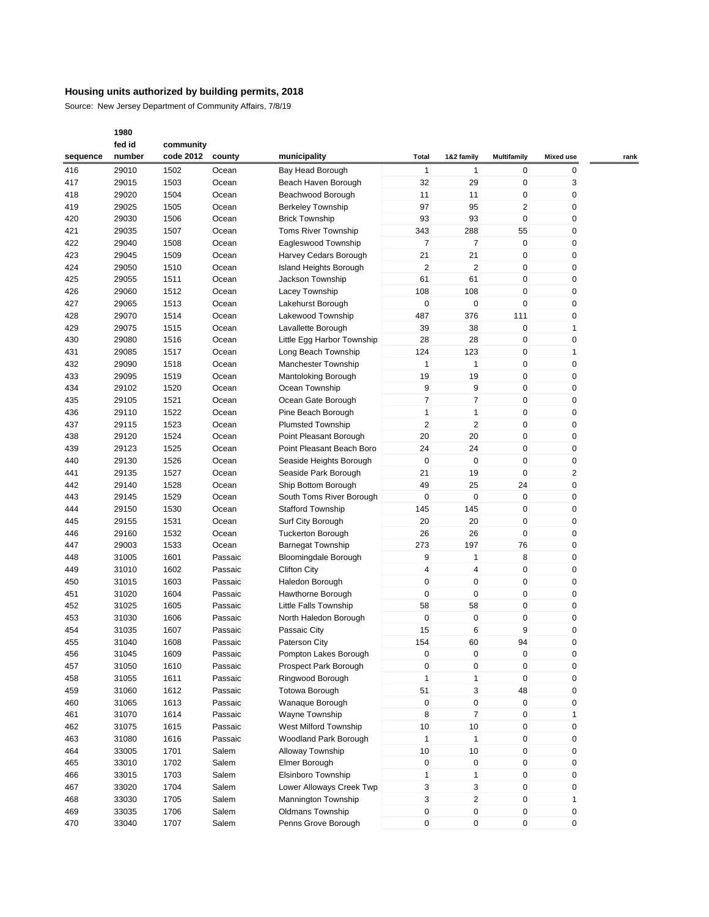Source: New Jersey Department of Community Affairs, 7/8/19

|          | fed id<br>community |           |         |                             |                         |                    |                         |                  |      |  |
|----------|---------------------|-----------|---------|-----------------------------|-------------------------|--------------------|-------------------------|------------------|------|--|
| sequence | number              | code 2012 | county  | municipality                | Total                   | 1&2 family         | <b>Multifamily</b>      | <b>Mixed use</b> | rank |  |
| 416      | 29010               | 1502      | Ocean   | Bay Head Borough            | $\mathbf{1}$            | 1                  | 0                       | 0                |      |  |
| 417      | 29015               | 1503      | Ocean   | Beach Haven Borough         | 32                      | 29                 | 0                       | 3                |      |  |
| 418      | 29020               | 1504      | Ocean   | Beachwood Borough           | 11                      | 11                 | 0                       | 0                |      |  |
| 419      | 29025               | 1505      | Ocean   | <b>Berkeley Township</b>    | 97                      | 95                 | $\overline{\mathbf{c}}$ | 0                |      |  |
|          |                     |           |         |                             |                         |                    |                         |                  |      |  |
| 420      | 29030               | 1506      | Ocean   | <b>Brick Township</b>       | 93                      | 93                 | 0                       | 0                |      |  |
| 421      | 29035               | 1507      | Ocean   | <b>Toms River Township</b>  | 343                     | 288                | 55                      | 0                |      |  |
| 422      | 29040               | 1508      | Ocean   | Eagleswood Township         | $\overline{7}$          | $\overline{7}$     | 0                       | 0                |      |  |
| 423      | 29045               | 1509      | Ocean   | Harvey Cedars Borough       | 21                      | 21                 | 0                       | 0                |      |  |
| 424      | 29050               | 1510      | Ocean   | Island Heights Borough      | $\overline{\mathbf{c}}$ | $\overline{2}$     | 0                       | 0                |      |  |
| 425      | 29055               | 1511      | Ocean   | Jackson Township            | 61                      | 61                 | 0                       | 0                |      |  |
| 426      | 29060               | 1512      | Ocean   | Lacey Township              | 108                     | 108                | 0                       | 0                |      |  |
| 427      | 29065               | 1513      | Ocean   | Lakehurst Borough           | 0                       | $\mathbf 0$        | 0                       | 0                |      |  |
| 428      | 29070               | 1514      | Ocean   | Lakewood Township           | 487                     | 376                | 111                     | 0                |      |  |
| 429      | 29075               | 1515      | Ocean   | Lavallette Borough          | 39                      | 38                 | 0                       | 1                |      |  |
| 430      | 29080               | 1516      | Ocean   | Little Egg Harbor Township  | 28                      | 28                 | 0                       | 0                |      |  |
| 431      | 29085               | 1517      | Ocean   | Long Beach Township         | 124                     | 123                | 0                       | 1                |      |  |
| 432      | 29090               | 1518      | Ocean   | Manchester Township         | $\mathbf{1}$            | $\mathbf{1}$       | 0                       | 0                |      |  |
| 433      | 29095               | 1519      | Ocean   |                             | 19                      | 19                 | 0                       | 0                |      |  |
|          |                     |           |         | Mantoloking Borough         |                         |                    |                         |                  |      |  |
| 434      | 29102               | 1520      | Ocean   | Ocean Township              | 9                       | 9                  | 0                       | 0                |      |  |
| 435      | 29105               | 1521      | Ocean   | Ocean Gate Borough          | 7                       | $\overline{7}$     | 0                       | 0                |      |  |
| 436      | 29110               | 1522      | Ocean   | Pine Beach Borough          | $\mathbf{1}$            | 1                  | 0                       | 0                |      |  |
| 437      | 29115               | 1523      | Ocean   | <b>Plumsted Township</b>    | $\overline{2}$          | $\overline{2}$     | 0                       | 0                |      |  |
| 438      | 29120               | 1524      | Ocean   | Point Pleasant Borough      | 20                      | 20                 | $\mathbf 0$             | 0                |      |  |
| 439      | 29123               | 1525      | Ocean   | Point Pleasant Beach Boro   | 24                      | 24                 | 0                       | 0                |      |  |
| 440      | 29130               | 1526      | Ocean   | Seaside Heights Borough     | $\pmb{0}$               | $\mathbf 0$        | 0                       | 0                |      |  |
| 441      | 29135               | 1527      | Ocean   | Seaside Park Borough        | 21                      | 19                 | 0                       | 2                |      |  |
| 442      | 29140               | 1528      | Ocean   | Ship Bottom Borough         | 49                      | 25                 | 24                      | 0                |      |  |
| 443      | 29145               | 1529      | Ocean   | South Toms River Borough    | 0                       | $\mathbf 0$        | 0                       | 0                |      |  |
| 444      | 29150               | 1530      | Ocean   | <b>Stafford Township</b>    | 145                     | 145                | 0                       | 0                |      |  |
| 445      | 29155               | 1531      | Ocean   | Surf City Borough           | 20                      | 20                 | $\mathbf 0$             | 0                |      |  |
| 446      | 29160               | 1532      | Ocean   | <b>Tuckerton Borough</b>    | 26                      | 26                 | 0                       | 0                |      |  |
| 447      |                     |           |         |                             | 273                     | 197                | 76                      |                  |      |  |
|          | 29003               | 1533      | Ocean   | <b>Barnegat Township</b>    |                         |                    |                         | 0                |      |  |
| 448      | 31005               | 1601      | Passaic | <b>Bloomingdale Borough</b> | 9                       | 1                  | 8                       | 0                |      |  |
| 449      | 31010               | 1602      | Passaic | <b>Clifton City</b>         | $\overline{\mathbf{4}}$ | 4                  | $\mathbf 0$             | 0                |      |  |
| 450      | 31015               | 1603      | Passaic | Haledon Borough             | 0                       | 0                  | 0                       | 0                |      |  |
| 451      | 31020               | 1604      | Passaic | Hawthorne Borough           | 0                       | 0                  | 0                       | 0                |      |  |
| 452      | 31025               | 1605      | Passaic | Little Falls Township       | 58                      | 58                 | 0                       | 0                |      |  |
| 453      | 31030               | 1606      | Passaic | North Haledon Borough       | $\pmb{0}$               | $\mathbf 0$        | 0                       | 0                |      |  |
| 454      | 31035               | 1607      | Passaic | Passaic City                | 15                      | 6                  | 9                       | 0                |      |  |
| 455      | 31040               | 1608      | Passaic | <b>Paterson City</b>        | 154                     | 60                 | 94                      | 0                |      |  |
| 456      | 31045               | 1609      | Passaic | Pompton Lakes Borough       | $\mathbf 0$             | $\mathbf 0$        | 0                       | 0                |      |  |
| 457      | 31050               | 1610      | Passaic | Prospect Park Borough       | $\pmb{0}$               | 0                  | 0                       | $\pmb{0}$        |      |  |
| 458      | 31055               | 1611      | Passaic | Ringwood Borough            | $\mathbf{1}$            | 1                  | 0                       | 0                |      |  |
| 459      | 31060               | 1612      | Passaic | <b>Totowa Borough</b>       | 51                      | 3                  | 48                      | 0                |      |  |
| 460      | 31065               | 1613      | Passaic | Wanaque Borough             | $\pmb{0}$               | $\pmb{0}$          | 0                       | 0                |      |  |
| 461      | 31070               | 1614      | Passaic | Wayne Township              | 8                       | $\overline{7}$     | 0                       | 1                |      |  |
|          |                     |           |         | West Milford Township       |                         |                    |                         |                  |      |  |
| 462      | 31075               | 1615      | Passaic | Woodland Park Borough       | 10<br>$\mathbf{1}$      | 10<br>$\mathbf{1}$ | 0<br>0                  | 0                |      |  |
| 463      | 31080               | 1616      | Passaic |                             |                         |                    |                         | 0                |      |  |
| 464      | 33005               | 1701      | Salem   | Alloway Township            | 10                      | 10                 | 0                       | $\pmb{0}$        |      |  |
| 465      | 33010               | 1702      | Salem   | Elmer Borough               | $\pmb{0}$               | $\mathbf 0$        | 0                       | 0                |      |  |
| 466      | 33015               | 1703      | Salem   | Elsinboro Township          | $\mathbf{1}$            | 1                  | 0                       | 0                |      |  |
| 467      | 33020               | 1704      | Salem   | Lower Alloways Creek Twp    | 3                       | 3                  | 0                       | 0                |      |  |
| 468      | 33030               | 1705      | Salem   | Mannington Township         | 3                       | $\overline{c}$     | 0                       | 1                |      |  |
| 469      | 33035               | 1706      | Salem   | Oldmans Township            | $\pmb{0}$               | $\pmb{0}$          | 0                       | 0                |      |  |
| 470      | 33040               | 1707      | Salem   | Penns Grove Borough         | 0                       | 0                  | 0                       | 0                |      |  |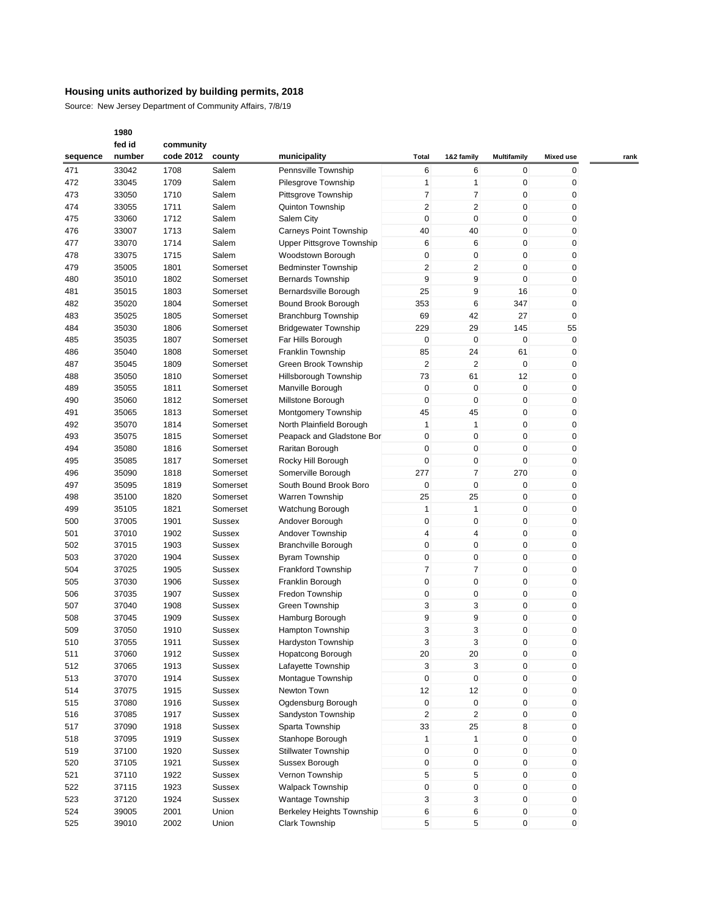Source: New Jersey Department of Community Affairs, 7/8/19

|          | fed id | community |               |                               |                |                         |                    |                  |      |
|----------|--------|-----------|---------------|-------------------------------|----------------|-------------------------|--------------------|------------------|------|
| sequence | number | code 2012 | county        | municipality                  | <b>Total</b>   | 1&2 family              | <b>Multifamily</b> | <b>Mixed use</b> | rank |
| 471      | 33042  | 1708      | Salem         | Pennsville Township           | 6              | 6                       | 0                  | 0                |      |
| 472      | 33045  | 1709      | Salem         | Pilesgrove Township           | $\mathbf{1}$   | 1                       | $\mathbf 0$        | 0                |      |
| 473      | 33050  | 1710      | Salem         | Pittsgrove Township           | 7              | 7                       | $\mathbf 0$        | 0                |      |
| 474      | 33055  | 1711      | Salem         | Quinton Township              | 2              | $\overline{\mathbf{c}}$ | $\mathbf 0$        | 0                |      |
|          |        |           |               |                               |                |                         |                    |                  |      |
| 475      | 33060  | 1712      | Salem         | Salem City                    | 0              | 0                       | 0                  | 0                |      |
| 476      | 33007  | 1713      | Salem         | <b>Carneys Point Township</b> | 40             | 40                      | $\mathbf 0$        | 0                |      |
| 477      | 33070  | 1714      | Salem         | Upper Pittsgrove Township     | 6              | 6                       | $\mathbf 0$        | 0                |      |
| 478      | 33075  | 1715      | Salem         | Woodstown Borough             | 0              | 0                       | $\mathbf 0$        | 0                |      |
| 479      | 35005  | 1801      | Somerset      | <b>Bedminster Township</b>    | $\overline{2}$ | 2                       | $\mathbf 0$        | 0                |      |
| 480      | 35010  | 1802      | Somerset      | <b>Bernards Township</b>      | 9              | 9                       | $\mathbf 0$        | 0                |      |
| 481      | 35015  | 1803      | Somerset      | Bernardsville Borough         | 25             | 9                       | 16                 | 0                |      |
| 482      | 35020  | 1804      | Somerset      | Bound Brook Borough           | 353            | 6                       | 347                | 0                |      |
| 483      | 35025  | 1805      | Somerset      | <b>Branchburg Township</b>    | 69             | 42                      | 27                 | 0                |      |
| 484      | 35030  | 1806      | Somerset      | <b>Bridgewater Township</b>   | 229            | 29                      | 145                | 55               |      |
| 485      | 35035  | 1807      | Somerset      | Far Hills Borough             | 0              | $\pmb{0}$               | $\mathbf 0$        | 0                |      |
| 486      | 35040  | 1808      | Somerset      | Franklin Township             | 85             | 24                      | 61                 | 0                |      |
| 487      | 35045  | 1809      | Somerset      | Green Brook Township          | $\overline{2}$ | $\overline{2}$          | $\mathbf 0$        | 0                |      |
|          |        |           |               |                               |                |                         | 12                 |                  |      |
| 488      | 35050  | 1810      | Somerset      | Hillsborough Township         | 73             | 61                      |                    | 0                |      |
| 489      | 35055  | 1811      | Somerset      | Manville Borough              | 0              | $\pmb{0}$               | $\mathbf 0$        | 0                |      |
| 490      | 35060  | 1812      | Somerset      | Millstone Borough             | 0              | 0                       | $\mathbf 0$        | 0                |      |
| 491      | 35065  | 1813      | Somerset      | Montgomery Township           | 45             | 45                      | $\mathbf 0$        | 0                |      |
| 492      | 35070  | 1814      | Somerset      | North Plainfield Borough      | 1              | $\mathbf{1}$            | $\mathbf 0$        | 0                |      |
| 493      | 35075  | 1815      | Somerset      | Peapack and Gladstone Bor     | 0              | 0                       | $\mathbf 0$        | 0                |      |
| 494      | 35080  | 1816      | Somerset      | Raritan Borough               | 0              | 0                       | $\mathbf 0$        | 0                |      |
| 495      | 35085  | 1817      | Somerset      | Rocky Hill Borough            | 0              | 0                       | $\mathbf 0$        | 0                |      |
| 496      | 35090  | 1818      | Somerset      | Somerville Borough            | 277            | 7                       | 270                | 0                |      |
| 497      | 35095  | 1819      | Somerset      | South Bound Brook Boro        | 0              | 0                       | $\mathbf 0$        | 0                |      |
| 498      | 35100  | 1820      | Somerset      | <b>Warren Township</b>        | 25             | 25                      | 0                  | 0                |      |
| 499      | 35105  | 1821      | Somerset      | Watchung Borough              | 1              | $\mathbf{1}$            | $\mathbf 0$        | 0                |      |
| 500      | 37005  | 1901      | <b>Sussex</b> | Andover Borough               | 0              | $\pmb{0}$               | $\mathbf 0$        | 0                |      |
| 501      | 37010  | 1902      | <b>Sussex</b> | Andover Township              | 4              | $\overline{4}$          | $\mathbf 0$        | 0                |      |
|          |        |           |               |                               | 0              | 0                       | $\mathbf 0$        |                  |      |
| 502      | 37015  | 1903      | <b>Sussex</b> | <b>Branchville Borough</b>    |                |                         |                    | 0                |      |
| 503      | 37020  | 1904      | <b>Sussex</b> | <b>Byram Township</b>         | 0              | $\pmb{0}$               | $\mathbf 0$        | 0                |      |
| 504      | 37025  | 1905      | <b>Sussex</b> | <b>Frankford Township</b>     | 7              | 7                       | $\mathbf 0$        | 0                |      |
| 505      | 37030  | 1906      | <b>Sussex</b> | Franklin Borough              | 0              | 0                       | $\mathbf 0$        | 0                |      |
| 506      | 37035  | 1907      | Sussex        | Fredon Township               | 0              | 0                       | $\mathbf 0$        | 0                |      |
| 507      | 37040  | 1908      | <b>Sussex</b> | Green Township                | 3              | 3                       | $\mathbf 0$        | 0                |      |
| 508      | 37045  | 1909      | <b>Sussex</b> | Hamburg Borough               | 9              | 9                       | $\mathbf 0$        | 0                |      |
| 509      | 37050  | 1910      | <b>Sussex</b> | Hampton Township              | 3              | 3                       | $\mathbf 0$        | 0                |      |
| 510      | 37055  | 1911      | <b>Sussex</b> | Hardyston Township            | 3              | 3                       | 0                  | 0                |      |
| 511      | 37060  | 1912      | <b>Sussex</b> | Hopatcong Borough             | 20             | 20                      | $\mathbf 0$        | 0                |      |
| 512      | 37065  | 1913      | Sussex        | Lafayette Township            | 3              | 3                       | $\pmb{0}$          | 0                |      |
| 513      | 37070  | 1914      | Sussex        | Montaque Township             | $\pmb{0}$      | $\pmb{0}$               | $\pmb{0}$          | 0                |      |
| 514      | 37075  | 1915      | Sussex        | Newton Town                   | 12             | 12                      | 0                  | 0                |      |
| 515      | 37080  | 1916      | Sussex        | Ogdensburg Borough            | 0              | $\pmb{0}$               | $\pmb{0}$          | 0                |      |
| 516      | 37085  | 1917      | <b>Sussex</b> | Sandyston Township            | $\overline{c}$ | $\overline{c}$          | $\pmb{0}$          | 0                |      |
| 517      | 37090  | 1918      | <b>Sussex</b> | Sparta Township               | 33             | 25                      | 8                  | 0                |      |
|          |        |           |               |                               |                |                         |                    |                  |      |
| 518      | 37095  | 1919      | Sussex        | Stanhope Borough              | 1              | $\mathbf{1}$            | $\pmb{0}$          | 0                |      |
| 519      | 37100  | 1920      | Sussex        | Stillwater Township           | 0              | $\pmb{0}$               | $\pmb{0}$          | 0                |      |
| 520      | 37105  | 1921      | <b>Sussex</b> | Sussex Borough                | 0              | 0                       | $\pmb{0}$          | 0                |      |
| 521      | 37110  | 1922      | Sussex        | Vernon Township               | 5              | 5                       | $\pmb{0}$          | 0                |      |
| 522      | 37115  | 1923      | <b>Sussex</b> | Walpack Township              | $\pmb{0}$      | 0                       | $\mathbf 0$        | 0                |      |
| 523      | 37120  | 1924      | <b>Sussex</b> | <b>Wantage Township</b>       | 3              | 3                       | $\pmb{0}$          | 0                |      |
| 524      | 39005  | 2001      | Union         | Berkeley Heights Township     | 6              | 6                       | $\pmb{0}$          | 0                |      |
| 525      | 39010  | 2002      | Union         | Clark Township                | 5              | 5                       | 0                  | 0                |      |
|          |        |           |               |                               |                |                         |                    |                  |      |